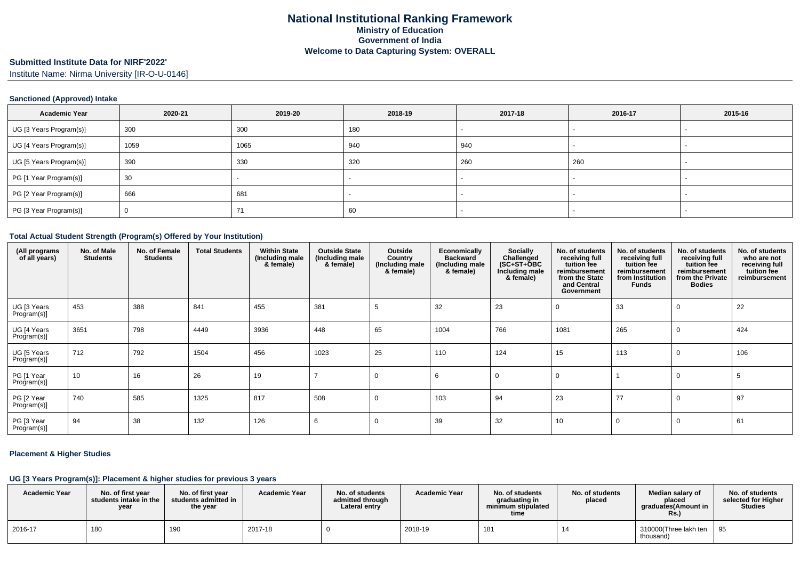# **Submitted Institute Data for NIRF'2022'**

Institute Name: Nirma University [IR-O-U-0146]

### **Sanctioned (Approved) Intake**

| <b>Academic Year</b>    | 2020-21 | 2019-20 | 2018-19 | 2017-18 | 2016-17                  | 2015-16 |
|-------------------------|---------|---------|---------|---------|--------------------------|---------|
| UG [3 Years Program(s)] | 300     | 300     | 180     |         | $\overline{\phantom{0}}$ |         |
| UG [4 Years Program(s)] | 1059    | 1065    | 940     | 940     |                          |         |
| UG [5 Years Program(s)] | 390     | 330     | 320     | 260     | 260                      |         |
| PG [1 Year Program(s)]  | 30      |         |         |         |                          |         |
| PG [2 Year Program(s)]  | 666     | 681     |         |         |                          |         |
| PG [3 Year Program(s)]  |         |         | 60      |         |                          |         |

### **Total Actual Student Strength (Program(s) Offered by Your Institution)**

| (All programs<br>of all years) | No. of Male<br><b>Students</b> | No. of Female<br><b>Students</b> | <b>Total Students</b> | <b>Within State</b><br>(Including male<br>& female) | <b>Outside State</b><br>(Including male<br>& female) | Outside<br>Country<br>(Including male<br>& female) | Economically<br><b>Backward</b><br>(Including male<br>& female) | Socially<br>Challenged<br>$(SC+ST+ÖBC)$<br>Including male<br>& female) | No. of students<br>receiving full<br>tuition fee<br>reimbursement<br>from the State<br>and Central<br>Government | No. of students<br>receiving full<br>tuition fee<br>reimbursement<br>from Institution<br><b>Funds</b> | No. of students<br>receiving full<br>tuition fee<br>reimbursement<br>from the Private<br><b>Bodies</b> | No. of students<br>who are not<br>receiving full<br>tuition fee<br>reimbursement |
|--------------------------------|--------------------------------|----------------------------------|-----------------------|-----------------------------------------------------|------------------------------------------------------|----------------------------------------------------|-----------------------------------------------------------------|------------------------------------------------------------------------|------------------------------------------------------------------------------------------------------------------|-------------------------------------------------------------------------------------------------------|--------------------------------------------------------------------------------------------------------|----------------------------------------------------------------------------------|
| UG [3 Years<br>Program(s)]     | 453                            | 388                              | 841                   | 455                                                 | 381                                                  |                                                    | 32                                                              | 23                                                                     |                                                                                                                  | 33                                                                                                    |                                                                                                        | 22                                                                               |
| UG [4 Years<br>Program(s)]     | 3651                           | 798                              | 4449                  | 3936                                                | 448                                                  | 65                                                 | 1004                                                            | 766                                                                    | 1081                                                                                                             | 265                                                                                                   |                                                                                                        | 424                                                                              |
| UG [5 Years<br>Program(s)]     | 712                            | 792                              | 1504                  | 456                                                 | 1023                                                 | 25                                                 | 110                                                             | 124                                                                    | 15                                                                                                               | 113                                                                                                   |                                                                                                        | 106                                                                              |
| PG [1 Year<br>Program(s)]      | 10                             | 16                               | 26                    | 19                                                  |                                                      | $\mathbf 0$                                        | -6                                                              | 0                                                                      |                                                                                                                  |                                                                                                       |                                                                                                        | -5                                                                               |
| PG [2 Year<br>Program(s)]      | 740                            | 585                              | 1325                  | 817                                                 | 508                                                  | $\Omega$                                           | 103                                                             | 94                                                                     | 23                                                                                                               | 77                                                                                                    |                                                                                                        | 97                                                                               |
| PG [3 Year<br>Program(s)]      | 94                             | 38                               | 132                   | 126                                                 | 6                                                    | 0                                                  | 39                                                              | 32                                                                     | 10                                                                                                               |                                                                                                       | 0                                                                                                      | 61                                                                               |

#### **Placement & Higher Studies**

## **UG [3 Years Program(s)]: Placement & higher studies for previous 3 years**

| <b>Academic Year</b> | No. of first year<br>students intake in the I<br>year | No. of first year<br>students admitted in<br>the year | <b>Academic Year</b> | No. of students<br>admitted through<br>Lateral entry | <b>Academic Year</b> | No. of students<br>graduating in<br>minimum stipulated<br>time | No. of students<br>placed | Median salary of<br>placed<br>araduates(Amount in<br>Rs. | No. of students<br>selected for Higher<br><b>Studies</b> |
|----------------------|-------------------------------------------------------|-------------------------------------------------------|----------------------|------------------------------------------------------|----------------------|----------------------------------------------------------------|---------------------------|----------------------------------------------------------|----------------------------------------------------------|
| 2016-17              | 180                                                   | <b>190</b>                                            | 2017-18              |                                                      | 2018-19              | 181                                                            |                           | 310000 (Three lakh ten<br>thousand)                      | ່ 95                                                     |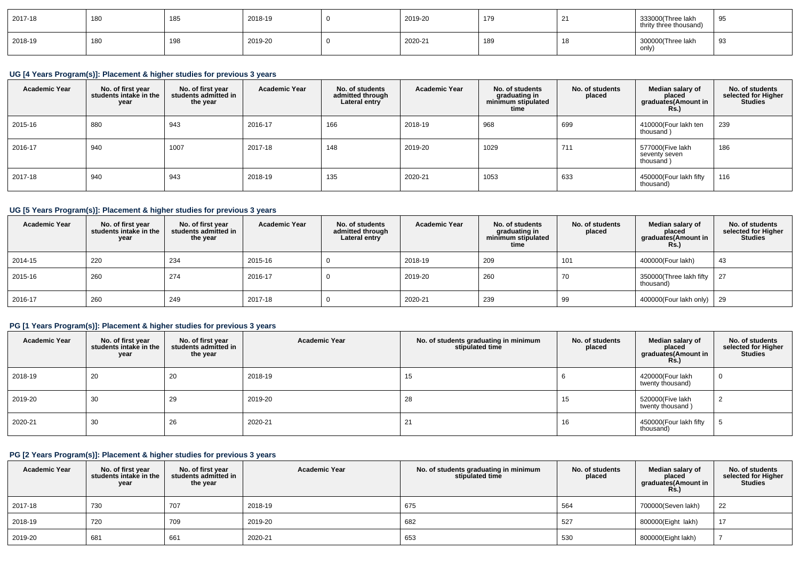| 2017-18 | 180 | 185        | 2018-19 | 2019-20 | 179 | c.<br>$\epsilon$ | 333000(Three lakh<br>thrity three thousand) | u<br>っこ |
|---------|-----|------------|---------|---------|-----|------------------|---------------------------------------------|---------|
| 2018-19 | 180 | 108<br>100 | 2019-20 | 2020-21 | 189 |                  | 300000(Three lakh<br>only)                  | 93      |

# **UG [4 Years Program(s)]: Placement & higher studies for previous 3 years**

| <b>Academic Year</b> | No. of first year<br>students intake in the<br>year | No. of first year<br>students admitted in<br>the year | <b>Academic Year</b> | No. of students<br>admitted through<br>Lateral entry | <b>Academic Year</b> | No. of students<br>graduating in<br>minimum stipulated<br>time | No. of students<br>placed | Median salary of<br>placed<br>graduates(Amount in<br><b>Rs.</b> ) | No. of students<br>selected for Higher<br><b>Studies</b> |
|----------------------|-----------------------------------------------------|-------------------------------------------------------|----------------------|------------------------------------------------------|----------------------|----------------------------------------------------------------|---------------------------|-------------------------------------------------------------------|----------------------------------------------------------|
| 2015-16              | 880                                                 | 943                                                   | 2016-17              | 166                                                  | 2018-19              | 968                                                            | 699                       | 410000(Four lakh ten<br>thousand)                                 | 239                                                      |
| 2016-17              | 940                                                 | 1007                                                  | 2017-18              | 148                                                  | 2019-20              | 1029                                                           | 711                       | 577000(Five lakh<br>seventy seven<br>thousand)                    | 186                                                      |
| 2017-18              | 940                                                 | 943                                                   | 2018-19              | 135                                                  | 2020-21              | 1053                                                           | 633                       | 450000(Four lakh fifty<br>thousand)                               | 116                                                      |

# **UG [5 Years Program(s)]: Placement & higher studies for previous 3 years**

| <b>Academic Year</b> | No. of first year<br>students intake in the<br>year | No. of first year<br>students admitted in<br>the year | <b>Academic Year</b> | No. of students<br>admitted through<br>Lateral entry | <b>Academic Year</b> | No. of students<br>graduating in<br>minimum stipulated<br>time | No. of students<br>placed | Median salary of<br>placed<br>graduates(Amount in<br>Rs.) | No. of students<br>selected for Higher<br><b>Studies</b> |
|----------------------|-----------------------------------------------------|-------------------------------------------------------|----------------------|------------------------------------------------------|----------------------|----------------------------------------------------------------|---------------------------|-----------------------------------------------------------|----------------------------------------------------------|
| 2014-15              | 220                                                 | 234                                                   | 2015-16              |                                                      | 2018-19              | 209                                                            | 101                       | 400000(Four lakh)                                         | 43                                                       |
| 2015-16              | 260                                                 | 274                                                   | 2016-17              | υ                                                    | 2019-20              | 260                                                            | 70                        | 350000(Three lakh fifty   27<br>thousand)                 |                                                          |
| 2016-17              | 260                                                 | 249                                                   | 2017-18              |                                                      | 2020-21              | 239                                                            | 99                        | 400000(Four lakh only)   29                               |                                                          |

# **PG [1 Years Program(s)]: Placement & higher studies for previous 3 years**

| <b>Academic Year</b> | No. of first year<br>students intake in the<br>year | No. of first year<br>students admitted in<br>the year | <b>Academic Year</b> | No. of students graduating in minimum<br>stipulated time | No. of students<br>placed | Median salary of<br>placed<br>graduates(Amount in<br><b>Rs.)</b> | No. of students<br>selected for Higher<br><b>Studies</b> |
|----------------------|-----------------------------------------------------|-------------------------------------------------------|----------------------|----------------------------------------------------------|---------------------------|------------------------------------------------------------------|----------------------------------------------------------|
| 2018-19              | 20                                                  | 20                                                    | 2018-19              | 15                                                       |                           | 420000(Four lakh<br>twenty thousand)                             |                                                          |
| 2019-20              | 30                                                  | 29                                                    | 2019-20              | 28                                                       | 15                        | 520000(Five lakh<br>twenty thousand)                             |                                                          |
| 2020-21              | 30                                                  | 26                                                    | 2020-21              | 21                                                       | 16                        | 450000(Four lakh fifty<br>thousand)                              |                                                          |

# **PG [2 Years Program(s)]: Placement & higher studies for previous 3 years**

| <b>Academic Year</b> | No. of first year<br>students intake in the<br>year | No. of first vear<br>students admitted in<br>the year | <b>Academic Year</b> | No. of students graduating in minimum<br>stipulated time | No. of students<br>placed | Median salary of<br>placed<br>graduates(Amount in<br><b>Rs.</b> ) | No. of students<br>selected for Higher<br><b>Studies</b> |
|----------------------|-----------------------------------------------------|-------------------------------------------------------|----------------------|----------------------------------------------------------|---------------------------|-------------------------------------------------------------------|----------------------------------------------------------|
| 2017-18              | 730                                                 | 707                                                   | 2018-19              | 675                                                      | 564                       | 700000(Seven lakh)                                                | 22                                                       |
| 2018-19              | 720                                                 | 709                                                   | 2019-20              | 682                                                      | 527                       | 800000(Eight lakh)                                                | 17                                                       |
| 2019-20              | 681                                                 | 661                                                   | 2020-21              | 653                                                      | 530                       | 800000(Eight lakh)                                                |                                                          |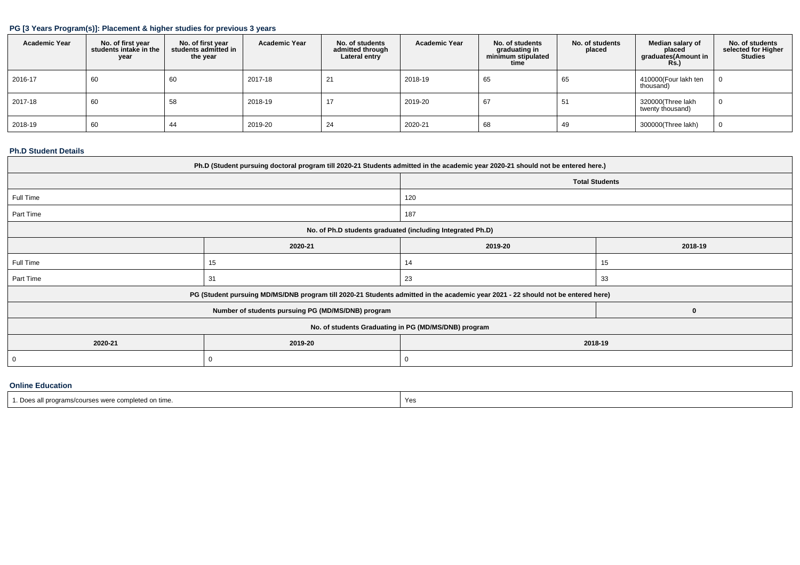## **PG [3 Years Program(s)]: Placement & higher studies for previous 3 years**

| <b>Academic Year</b> | No. of first year<br>students intake in the<br>year | No. of first year<br>students admitted in<br>the year | <b>Academic Year</b> | No. of students<br>admitted through<br>Lateral entry | <b>Academic Year</b> | No. of students<br>graduating in<br>minimum stipulated<br>time | No. of students<br>placed | Median salary of<br>placed<br>graduates(Amount in<br><b>Rs.)</b> | No. of students<br>selected for Higher<br><b>Studies</b> |
|----------------------|-----------------------------------------------------|-------------------------------------------------------|----------------------|------------------------------------------------------|----------------------|----------------------------------------------------------------|---------------------------|------------------------------------------------------------------|----------------------------------------------------------|
| 2016-17              | 60                                                  | 60                                                    | 2017-18              | 21                                                   | 2018-19              | 65                                                             | 65                        | 410000(Four lakh ten<br>thousand)                                | 0                                                        |
| 2017-18              | 60                                                  | 58                                                    | 2018-19              | 17                                                   | 2019-20              | 67                                                             | 51                        | 320000(Three lakh<br>twenty thousand)                            | 0                                                        |
| 2018-19              | 60                                                  | 44                                                    | 2019-20              | 24                                                   | 2020-21              | 68                                                             | 49                        | 300000(Three lakh)                                               | 0                                                        |

### **Ph.D Student Details**

| Ph.D (Student pursuing doctoral program till 2020-21 Students admitted in the academic year 2020-21 should not be entered here.) |                                                                                                                                  |         |         |  |  |  |  |  |  |
|----------------------------------------------------------------------------------------------------------------------------------|----------------------------------------------------------------------------------------------------------------------------------|---------|---------|--|--|--|--|--|--|
|                                                                                                                                  | <b>Total Students</b>                                                                                                            |         |         |  |  |  |  |  |  |
| Full Time                                                                                                                        |                                                                                                                                  | 120     |         |  |  |  |  |  |  |
| Part Time                                                                                                                        |                                                                                                                                  | 187     |         |  |  |  |  |  |  |
|                                                                                                                                  | No. of Ph.D students graduated (including Integrated Ph.D)                                                                       |         |         |  |  |  |  |  |  |
|                                                                                                                                  | 2020-21                                                                                                                          | 2019-20 | 2018-19 |  |  |  |  |  |  |
| Full Time                                                                                                                        | 15                                                                                                                               | 14      | 15      |  |  |  |  |  |  |
| Part Time                                                                                                                        | 31                                                                                                                               | 23      | 33      |  |  |  |  |  |  |
|                                                                                                                                  | PG (Student pursuing MD/MS/DNB program till 2020-21 Students admitted in the academic year 2021 - 22 should not be entered here) |         |         |  |  |  |  |  |  |
|                                                                                                                                  | Number of students pursuing PG (MD/MS/DNB) program                                                                               |         | O       |  |  |  |  |  |  |
| No. of students Graduating in PG (MD/MS/DNB) program                                                                             |                                                                                                                                  |         |         |  |  |  |  |  |  |
| 2020-21                                                                                                                          | 2019-20<br>2018-19                                                                                                               |         |         |  |  |  |  |  |  |
| 0                                                                                                                                | 0                                                                                                                                |         |         |  |  |  |  |  |  |

# **Online Education**

| : Does<br>s all programs/courses were completed on time. | Yes |
|----------------------------------------------------------|-----|
|                                                          |     |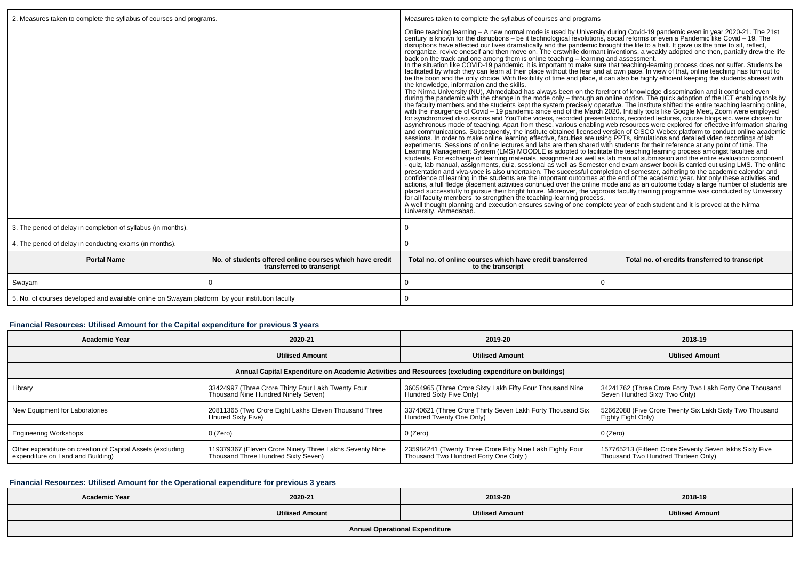| 2. Measures taken to complete the syllabus of courses and programs.                             |                                                                                       | Measures taken to complete the syllabus of courses and programs                                                                                                                                                                                                                                                                                                                                                                                                                                                                                                                                                                                                                                                                                                                                                                                                                                                                                                                                                                                                                                                                                                                                                                                                                                                                                                                                                                                                                                                                                                                                                                                                                                                                                                                                                                                                                                                                                                                                                                                                                                                                                                                                                                                                                                                                                                                                                                                                                                                                                                                                                                                                                                                                                                                                                                                                                                                                                                                                                                                                                                                                                                                                                                      |                                                                                                                                   |  |  |  |
|-------------------------------------------------------------------------------------------------|---------------------------------------------------------------------------------------|--------------------------------------------------------------------------------------------------------------------------------------------------------------------------------------------------------------------------------------------------------------------------------------------------------------------------------------------------------------------------------------------------------------------------------------------------------------------------------------------------------------------------------------------------------------------------------------------------------------------------------------------------------------------------------------------------------------------------------------------------------------------------------------------------------------------------------------------------------------------------------------------------------------------------------------------------------------------------------------------------------------------------------------------------------------------------------------------------------------------------------------------------------------------------------------------------------------------------------------------------------------------------------------------------------------------------------------------------------------------------------------------------------------------------------------------------------------------------------------------------------------------------------------------------------------------------------------------------------------------------------------------------------------------------------------------------------------------------------------------------------------------------------------------------------------------------------------------------------------------------------------------------------------------------------------------------------------------------------------------------------------------------------------------------------------------------------------------------------------------------------------------------------------------------------------------------------------------------------------------------------------------------------------------------------------------------------------------------------------------------------------------------------------------------------------------------------------------------------------------------------------------------------------------------------------------------------------------------------------------------------------------------------------------------------------------------------------------------------------------------------------------------------------------------------------------------------------------------------------------------------------------------------------------------------------------------------------------------------------------------------------------------------------------------------------------------------------------------------------------------------------------------------------------------------------------------------------------------------------|-----------------------------------------------------------------------------------------------------------------------------------|--|--|--|
|                                                                                                 |                                                                                       | Online teaching learning - A new normal mode is used by University during Covid-19 pandemic even in year 2020-21. The 21st<br>century is known for the disruptions - be it technological revolutions, social reforms or even a Pandemic like Covid - 19. The disruptions have affected our lives dramatically and the pandemic brought the life to a halt. I<br>reorganize, revive oneself and then move on. The erstwhile dormant inventions, a weakly adopted one then, partially drew the life<br>back on the track and one among them is online teaching - learning and assessment.<br>In the situation like COVID-19 pandemic, it is important to make sure that teaching-learning process does not suffer. Students be<br>facilitated by which they can learn at their place without the fear and at own pace. In view of that, online teaching has turn out to<br>be the boon and the only choice. With flexibility of time and place, it can also be highly efficient keeping the students abreast with<br>the knowledge, information and the skills.<br>The Nirma University (NU), Ahmedabad has always been on the forefront of knowledge dissemination and it continued even<br>during the pandemic with the change in the mode only - through an online option. The quick adoption of the ICT enabling tools by<br>the faculty members and the students kept the system precisely operative. The institute shift<br>with the insurgence of Covid – 19 pandemic since end of the March 2020. Initially tools like Google Meet, Zoom were employed<br>for synchronized discussions and YouTube videos, recorded presentations, recorded lectures, course blogs etc. were chosen for<br>asynchronous mode of teaching. Apart from these, various enabling web resources were explored for effective information sharing<br>and communications. Subsequently, the institute obtained licensed version of CISCO Webex platform to conduct online academic<br>sessions. In order to make online learning effective, faculties are using PPTs, simulations and detailed video recordings of lab<br>experiments. Sessions of online lectures and labs are then shared with students for their ref<br>Learning Management System (LMS) MOODLE is adopted to facilitate the teaching learning process amongst faculties and<br>students. For exchange of learning materials, assignment as well as lab manual submission and the entire evaluation component<br>- quiz, lab manual, assignments, quiz, sessional as well as Semester end exam answer book is carried out using LMS. The online<br>presentation and viva-voce is also undertaken. The successful completion of semester, adhering to the academic calendar and<br>confidence of learning in the students are the important outcomes at the end of the academic year. Not only these activities and<br>placed successfully to pursue their bright future. Moreover, the vigorous faculty training programme was conducted by University<br>for all faculty members to strengthen the teaching-learning process.<br>A well thought planning and execution ensures saving of one complete year of each student and it is proved at the Nirma<br>University, Ahmedabad. | actions, a full fledge placement activities continued over the online mode and as an outcome today a large number of students are |  |  |  |
| 3. The period of delay in completion of syllabus (in months).                                   |                                                                                       | 0                                                                                                                                                                                                                                                                                                                                                                                                                                                                                                                                                                                                                                                                                                                                                                                                                                                                                                                                                                                                                                                                                                                                                                                                                                                                                                                                                                                                                                                                                                                                                                                                                                                                                                                                                                                                                                                                                                                                                                                                                                                                                                                                                                                                                                                                                                                                                                                                                                                                                                                                                                                                                                                                                                                                                                                                                                                                                                                                                                                                                                                                                                                                                                                                                                    |                                                                                                                                   |  |  |  |
| 4. The period of delay in conducting exams (in months).                                         |                                                                                       | $\Omega$                                                                                                                                                                                                                                                                                                                                                                                                                                                                                                                                                                                                                                                                                                                                                                                                                                                                                                                                                                                                                                                                                                                                                                                                                                                                                                                                                                                                                                                                                                                                                                                                                                                                                                                                                                                                                                                                                                                                                                                                                                                                                                                                                                                                                                                                                                                                                                                                                                                                                                                                                                                                                                                                                                                                                                                                                                                                                                                                                                                                                                                                                                                                                                                                                             |                                                                                                                                   |  |  |  |
| <b>Portal Name</b>                                                                              | No, of students offered online courses which have credit<br>transferred to transcript | Total no, of online courses which have credit transferred<br>Total no. of credits transferred to transcript<br>to the transcript                                                                                                                                                                                                                                                                                                                                                                                                                                                                                                                                                                                                                                                                                                                                                                                                                                                                                                                                                                                                                                                                                                                                                                                                                                                                                                                                                                                                                                                                                                                                                                                                                                                                                                                                                                                                                                                                                                                                                                                                                                                                                                                                                                                                                                                                                                                                                                                                                                                                                                                                                                                                                                                                                                                                                                                                                                                                                                                                                                                                                                                                                                     |                                                                                                                                   |  |  |  |
| Swayam                                                                                          |                                                                                       | 0<br>$\Omega$                                                                                                                                                                                                                                                                                                                                                                                                                                                                                                                                                                                                                                                                                                                                                                                                                                                                                                                                                                                                                                                                                                                                                                                                                                                                                                                                                                                                                                                                                                                                                                                                                                                                                                                                                                                                                                                                                                                                                                                                                                                                                                                                                                                                                                                                                                                                                                                                                                                                                                                                                                                                                                                                                                                                                                                                                                                                                                                                                                                                                                                                                                                                                                                                                        |                                                                                                                                   |  |  |  |
| 5. No. of courses developed and available online on Swayam platform by your institution faculty |                                                                                       | $\Omega$                                                                                                                                                                                                                                                                                                                                                                                                                                                                                                                                                                                                                                                                                                                                                                                                                                                                                                                                                                                                                                                                                                                                                                                                                                                                                                                                                                                                                                                                                                                                                                                                                                                                                                                                                                                                                                                                                                                                                                                                                                                                                                                                                                                                                                                                                                                                                                                                                                                                                                                                                                                                                                                                                                                                                                                                                                                                                                                                                                                                                                                                                                                                                                                                                             |                                                                                                                                   |  |  |  |

# **Financial Resources: Utilised Amount for the Capital expenditure for previous 3 years**

| <b>Academic Year</b>                                                                                 | 2020-21                                                                                                                                                                            | 2019-20                                                                                           | 2018-19                                                                                        |  |
|------------------------------------------------------------------------------------------------------|------------------------------------------------------------------------------------------------------------------------------------------------------------------------------------|---------------------------------------------------------------------------------------------------|------------------------------------------------------------------------------------------------|--|
|                                                                                                      | <b>Utilised Amount</b>                                                                                                                                                             | <b>Utilised Amount</b>                                                                            | <b>Utilised Amount</b>                                                                         |  |
| Annual Capital Expenditure on Academic Activities and Resources (excluding expenditure on buildings) |                                                                                                                                                                                    |                                                                                                   |                                                                                                |  |
| Library                                                                                              | 36054965 (Three Crore Sixty Lakh Fifty Four Thousand Nine<br>33424997 (Three Crore Thirty Four Lakh Twenty Four<br>Hundred Sixty Five Only)<br>Thousand Nine Hundred Ninety Seven) |                                                                                                   | 34241762 (Three Crore Forty Two Lakh Forty One Thousand<br>Seven Hundred Sixty Two Only)       |  |
| New Equipment for Laboratories                                                                       | 20811365 (Two Crore Eight Lakhs Eleven Thousand Three<br>Hnured Sixty Five)                                                                                                        | 33740621 (Three Crore Thirty Seven Lakh Forty Thousand Six<br>Hundred Twenty One Only)            | 52662088 (Five Crore Twenty Six Lakh Sixty Two Thousand<br>Eighty Eight Only)                  |  |
| <b>Engineering Workshops</b>                                                                         | $0$ (Zero)                                                                                                                                                                         | 0 (Zero)                                                                                          | 0 (Zero)                                                                                       |  |
| Other expenditure on creation of Capital Assets (excluding<br>expenditure on Land and Building)      | 119379367 (Eleven Crore Ninety Three Lakhs Seventy Nine<br>Thousand Three Hundred Sixty Seven)                                                                                     | 235984241 (Twenty Three Crore Fifty Nine Lakh Eighty Four<br>Thousand Two Hundred Forty One Only) | 157765213 (Fifteen Crore Seventy Seven lakhs Sixty Five<br>Thousand Two Hundred Thirteen Only) |  |

# **Financial Resources: Utilised Amount for the Operational expenditure for previous 3 years**

| <b>Academic Year</b>                  | 2020-21                | 2019-20                | 2018-19                |  |  |
|---------------------------------------|------------------------|------------------------|------------------------|--|--|
|                                       | <b>Utilised Amount</b> | <b>Utilised Amount</b> | <b>Utilised Amount</b> |  |  |
| <b>Annual Operational Expenditure</b> |                        |                        |                        |  |  |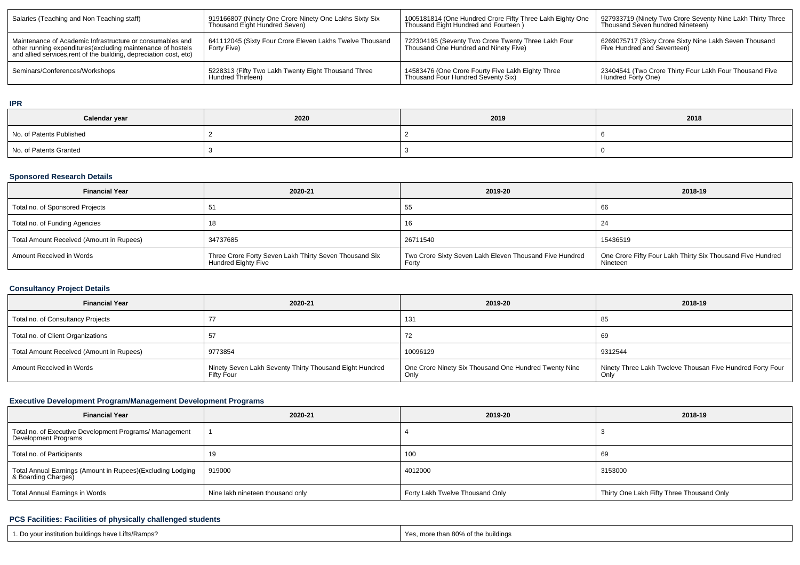| Salaries (Teaching and Non Teaching staff)                                                                                                                                                      | 919166807 (Ninety One Crore Ninety One Lakhs Sixty Six<br>Thousand Eight Hundred Seven) | 1005181814 (One Hundred Crore Fifty Three Lakh Eighty One<br>Thousand Eight Hundred and Fourteen ) | 927933719 (Ninety Two Crore Seventy Nine Lakh Thirty Three<br>Thousand Seven hundred Nineteen) |  |
|-------------------------------------------------------------------------------------------------------------------------------------------------------------------------------------------------|-----------------------------------------------------------------------------------------|----------------------------------------------------------------------------------------------------|------------------------------------------------------------------------------------------------|--|
| Maintenance of Academic Infrastructure or consumables and<br>other running expenditures (excluding maintenance of hostels<br>and allied services, rent of the building, depreciation cost, etc) | 641112045 (Sixty Four Crore Eleven Lakhs Twelve Thousand<br>Forty Five)                 | 722304195 (Seventy Two Crore Twenty Three Lakh Four<br>Thousand One Hundred and Ninety Five)       | 6269075717 (Sixty Crore Sixty Nine Lakh Seven Thousand<br>Five Hundred and Seventeen)          |  |
| Seminars/Conferences/Workshops                                                                                                                                                                  | 5228313 (Fifty Two Lakh Twenty Eight Thousand Three<br>Hundred Thirteen)                | 14583476 (One Crore Fourty Five Lakh Eighty Three<br>Thousand Four Hundred Seventy Six)            | 23404541 (Two Crore Thirty Four Lakh Four Thousand Five<br>Hundred Forty One)                  |  |

#### **IPR**

| Calendar year            | 2020 | 2019 | 2018 |
|--------------------------|------|------|------|
| No. of Patents Published |      |      |      |
| No. of Patents Granted   |      |      |      |

# **Sponsored Research Details**

| <b>Financial Year</b>                    | 2020-21                                                                       | 2019-20                                                          | 2018-19                                                                |  |
|------------------------------------------|-------------------------------------------------------------------------------|------------------------------------------------------------------|------------------------------------------------------------------------|--|
| Total no. of Sponsored Projects          | -51                                                                           | 55                                                               | -66                                                                    |  |
| Total no. of Funding Agencies            |                                                                               | 16                                                               | -24                                                                    |  |
| Total Amount Received (Amount in Rupees) | 34737685                                                                      | 26711540                                                         | 15436519                                                               |  |
| Amount Received in Words                 | Three Crore Forty Seven Lakh Thirty Seven Thousand Six<br>Hundred Eighty Five | Two Crore Sixty Seven Lakh Eleven Thousand Five Hundred<br>Forty | One Crore Fifty Four Lakh Thirty Six Thousand Five Hundred<br>Nineteen |  |

# **Consultancy Project Details**

| <b>Financial Year</b>                    | 2020-21                                                                      | 2019-20                                                       | 2018-19                                                           |  |
|------------------------------------------|------------------------------------------------------------------------------|---------------------------------------------------------------|-------------------------------------------------------------------|--|
| Total no. of Consultancy Projects        |                                                                              | 131                                                           | -85                                                               |  |
| Total no. of Client Organizations        |                                                                              |                                                               | -69                                                               |  |
| Total Amount Received (Amount in Rupees) | 9773854                                                                      | 10096129                                                      | 9312544                                                           |  |
| Amount Received in Words                 | Ninety Seven Lakh Seventy Thirty Thousand Eight Hundred<br><b>Fifty Four</b> | One Crore Ninety Six Thousand One Hundred Twenty Nine<br>Only | Ninety Three Lakh Tweleve Thousan Five Hundred Forty Four<br>Only |  |

# **Executive Development Program/Management Development Programs**

| <b>Financial Year</b>                                                             | 2020-21                          | 2019-20                         | 2018-19                                   |  |
|-----------------------------------------------------------------------------------|----------------------------------|---------------------------------|-------------------------------------------|--|
| Total no. of Executive Development Programs/ Management<br>Development Programs   |                                  |                                 |                                           |  |
| Total no. of Participants                                                         |                                  | 100                             | 69                                        |  |
| Total Annual Earnings (Amount in Rupees)(Excluding Lodging<br>& Boarding Charges) | 919000                           | 4012000                         | 3153000                                   |  |
| Total Annual Earnings in Words                                                    | Nine lakh nineteen thousand only | Forty Lakh Twelve Thousand Only | Thirty One Lakh Fifty Three Thousand Only |  |

# **PCS Facilities: Facilities of physically challenged students**

| 1. Do vour institution buildings have Lifts/Ramps? | 1 Yes, more than 80% of the buildings |
|----------------------------------------------------|---------------------------------------|
|                                                    |                                       |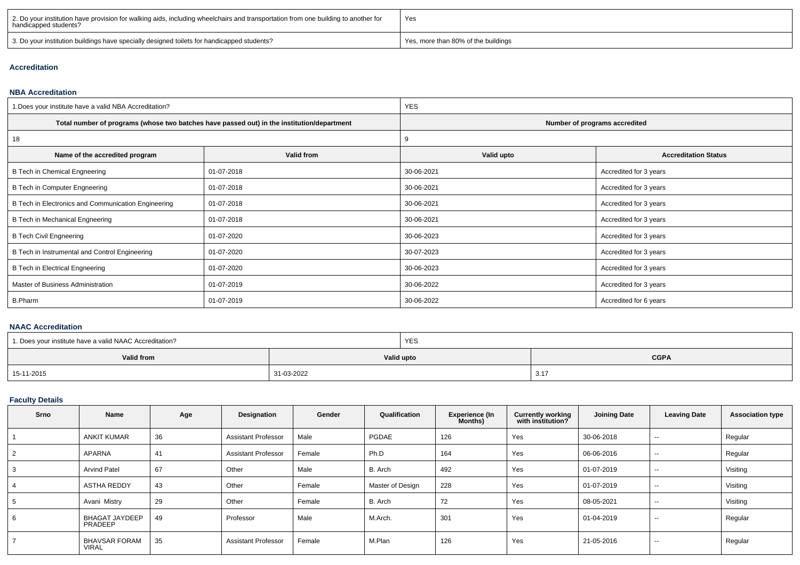| 2. Do your institution have provision for walking aids, including wheelchairs and transportation from one building to another for<br>handicapped students? | Yes                                 |
|------------------------------------------------------------------------------------------------------------------------------------------------------------|-------------------------------------|
| 3. Do your institution buildings have specially designed toilets for handicapped students?                                                                 | Yes, more than 80% of the buildings |

## **Accreditation**

#### **NBA Accreditation**

| 1. Does your institute have a valid NBA Accreditation? |                                                                                            | <b>YES</b>                    |                             |  |  |
|--------------------------------------------------------|--------------------------------------------------------------------------------------------|-------------------------------|-----------------------------|--|--|
|                                                        | Total number of programs (whose two batches have passed out) in the institution/department | Number of programs accredited |                             |  |  |
| 18                                                     |                                                                                            | 9                             |                             |  |  |
| Name of the accredited program                         | Valid from                                                                                 | Valid upto                    | <b>Accreditation Status</b> |  |  |
| B Tech in Chemical Engneering                          | 01-07-2018                                                                                 | 30-06-2021                    | Accredited for 3 years      |  |  |
| B Tech in Computer Engneering                          | 01-07-2018                                                                                 | 30-06-2021                    | Accredited for 3 years      |  |  |
| B Tech in Electronics and Communication Engineering    | 01-07-2018                                                                                 | 30-06-2021                    | Accredited for 3 years      |  |  |
| B Tech in Mechanical Engneering                        | 01-07-2018                                                                                 | 30-06-2021                    | Accredited for 3 years      |  |  |
| <b>B Tech Civil Engneering</b>                         | 01-07-2020                                                                                 | 30-06-2023                    | Accredited for 3 years      |  |  |
| B Tech in Instrumental and Control Engineering         | 01-07-2020                                                                                 | 30-07-2023                    | Accredited for 3 years      |  |  |
| B Tech in Electrical Engneering                        | 01-07-2020                                                                                 | 30-06-2023                    | Accredited for 3 years      |  |  |
| Master of Business Administration                      | 01-07-2019                                                                                 | 30-06-2022                    | Accredited for 3 years      |  |  |
| <b>B.Pharm</b>                                         | 01-07-2019                                                                                 | 30-06-2022                    | Accredited for 6 years      |  |  |

#### **NAAC Accreditation**

| 1. Does your institute have a valid NAAC Accreditation? |            | <b>YES</b> |             |  |
|---------------------------------------------------------|------------|------------|-------------|--|
| Valid from                                              | Valid upto |            | <b>CGPA</b> |  |
| 15-11-2015                                              | 31-03-2022 |            | 3.17        |  |

# **Faculty Details**

| <b>Srno</b> | Name                                 | Age | Designation                | Gender | Qualification    | <b>Experience (In</b><br><b>Months</b> ) | <b>Currently working</b><br>with institution? | <b>Joining Date</b> | <b>Leaving Date</b>      | <b>Association type</b> |
|-------------|--------------------------------------|-----|----------------------------|--------|------------------|------------------------------------------|-----------------------------------------------|---------------------|--------------------------|-------------------------|
|             | <b>ANKIT KUMAR</b>                   | 36  | <b>Assistant Professor</b> | Male   | PGDAE            | 126                                      | Yes                                           | 30-06-2018          | $\overline{\phantom{a}}$ | Regular                 |
|             | APARNA                               | 41  | <b>Assistant Professor</b> | Female | Ph.D             | 164                                      | Yes                                           | 06-06-2016          | $\sim$                   | Regular                 |
|             | <b>Arvind Patel</b>                  | 67  | Other                      | Male   | B. Arch          | 492                                      | Yes                                           | 01-07-2019          | $\sim$                   | Visiting                |
|             | <b>ASTHA REDDY</b>                   | 43  | Other                      | Female | Master of Design | 228                                      | Yes                                           | 01-07-2019          | $\overline{\phantom{a}}$ | Visiting                |
|             | Avani Mistry                         | 29  | Other                      | Female | B. Arch          | 72                                       | Yes                                           | 08-05-2021          | $\overline{\phantom{a}}$ | Visiting                |
|             | <b>BHAGAT JAYDEEP</b><br>PRADEEP     | 49  | Professor                  | Male   | M.Arch.          | 301                                      | Yes                                           | 01-04-2019          | $\sim$                   | Regular                 |
|             | <b>BHAVSAR FORAM</b><br><b>VIRAL</b> | 35  | <b>Assistant Professor</b> | Female | M.Plan           | 126                                      | Yes                                           | 21-05-2016          | $\overline{\phantom{a}}$ | Regular                 |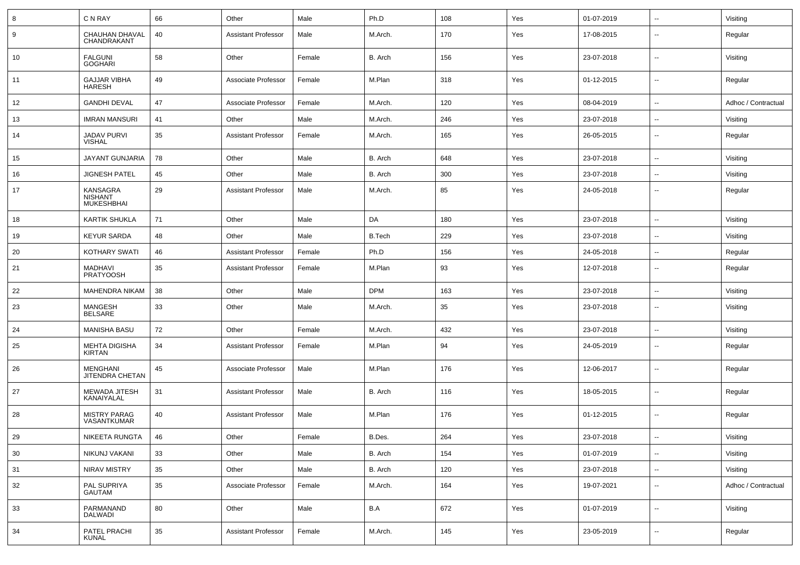| 8      | C N RAY                                                | 66     | Other                      | Male   | Ph.D          | 108 | Yes | 01-07-2019 | $\overline{\phantom{a}}$ | Visiting            |
|--------|--------------------------------------------------------|--------|----------------------------|--------|---------------|-----|-----|------------|--------------------------|---------------------|
| 9      | CHAUHAN DHAVAL<br>CHANDRAKANT                          | 40     | <b>Assistant Professor</b> | Male   | M.Arch.       | 170 | Yes | 17-08-2015 | --                       | Regular             |
| 10     | <b>FALGUNI</b><br><b>GOGHARI</b>                       | 58     | Other                      | Female | B. Arch       | 156 | Yes | 23-07-2018 | $\overline{a}$           | Visiting            |
| 11     | <b>GAJJAR VIBHA</b><br><b>HARESH</b>                   | 49     | Associate Professor        | Female | M.Plan        | 318 | Yes | 01-12-2015 | $\overline{\phantom{a}}$ | Regular             |
| 12     | <b>GANDHI DEVAL</b>                                    | 47     | Associate Professor        | Female | M.Arch.       | 120 | Yes | 08-04-2019 | $\overline{a}$           | Adhoc / Contractual |
| 13     | <b>IMRAN MANSURI</b>                                   | 41     | Other                      | Male   | M.Arch.       | 246 | Yes | 23-07-2018 | $\overline{\phantom{a}}$ | Visiting            |
| 14     | <b>JADAV PURVI</b><br><b>VISHAL</b>                    | 35     | <b>Assistant Professor</b> | Female | M.Arch.       | 165 | Yes | 26-05-2015 | $\overline{\phantom{a}}$ | Regular             |
| 15     | JAYANT GUNJARIA                                        | 78     | Other                      | Male   | B. Arch       | 648 | Yes | 23-07-2018 | $\overline{a}$           | Visiting            |
| 16     | <b>JIGNESH PATEL</b>                                   | 45     | Other                      | Male   | B. Arch       | 300 | Yes | 23-07-2018 | --                       | Visiting            |
| 17     | <b>KANSAGRA</b><br><b>NISHANT</b><br><b>MUKESHBHAI</b> | 29     | <b>Assistant Professor</b> | Male   | M.Arch.       | 85  | Yes | 24-05-2018 | $\overline{\phantom{a}}$ | Regular             |
| 18     | <b>KARTIK SHUKLA</b>                                   | 71     | Other                      | Male   | DA            | 180 | Yes | 23-07-2018 | $\overline{a}$           | Visiting            |
| 19     | <b>KEYUR SARDA</b>                                     | 48     | Other                      | Male   | <b>B.Tech</b> | 229 | Yes | 23-07-2018 | $\overline{\phantom{a}}$ | Visiting            |
| 20     | <b>KOTHARY SWATI</b>                                   | 46     | <b>Assistant Professor</b> | Female | Ph.D          | 156 | Yes | 24-05-2018 | $-$                      | Regular             |
| 21     | MADHAVI<br><b>PRATYOOSH</b>                            | 35     | <b>Assistant Professor</b> | Female | M.Plan        | 93  | Yes | 12-07-2018 | --                       | Regular             |
| 22     | <b>MAHENDRA NIKAM</b>                                  | 38     | Other                      | Male   | <b>DPM</b>    | 163 | Yes | 23-07-2018 | --                       | Visiting            |
| 23     | MANGESH<br>BELSARE                                     | 33     | Other                      | Male   | M.Arch.       | 35  | Yes | 23-07-2018 | $\overline{\phantom{a}}$ | Visiting            |
| 24     | <b>MANISHA BASU</b>                                    | 72     | Other                      | Female | M.Arch.       | 432 | Yes | 23-07-2018 | --                       | Visiting            |
| 25     | <b>MEHTA DIGISHA</b><br><b>KIRTAN</b>                  | 34     | <b>Assistant Professor</b> | Female | M.Plan        | 94  | Yes | 24-05-2019 | $\overline{\phantom{a}}$ | Regular             |
| 26     | MENGHANI<br>JITENDRA CHETAN                            | 45     | Associate Professor        | Male   | M.Plan        | 176 | Yes | 12-06-2017 | -−                       | Regular             |
| 27     | <b>MEWADA JITESH</b><br>KANAIYALAL                     | 31     | <b>Assistant Professor</b> | Male   | B. Arch       | 116 | Yes | 18-05-2015 | --                       | Regular             |
| 28     | <b>MISTRY PARAG</b><br>VASANTKUMAR                     | 40     | <b>Assistant Professor</b> | Male   | M.Plan        | 176 | Yes | 01-12-2015 | $\overline{\phantom{a}}$ | Regular             |
| $29\,$ | NIKEETA RUNGTA                                         | 46     | Other                      | Female | B.Des.        | 264 | Yes | 23-07-2018 | $\overline{\phantom{a}}$ | Visiting            |
| 30     | NIKUNJ VAKANI                                          | 33     | Other                      | Male   | B. Arch       | 154 | Yes | 01-07-2019 | н.                       | Visiting            |
| 31     | NIRAV MISTRY                                           | 35     | Other                      | Male   | B. Arch       | 120 | Yes | 23-07-2018 | щ.                       | Visiting            |
| 32     | PAL SUPRIYA<br><b>GAUTAM</b>                           | 35     | Associate Professor        | Female | M.Arch.       | 164 | Yes | 19-07-2021 | щ.                       | Adhoc / Contractual |
| 33     | PARMANAND<br><b>DALWADI</b>                            | 80     | Other                      | Male   | B.A           | 672 | Yes | 01-07-2019 | щ.                       | Visiting            |
| 34     | PATEL PRACHI<br>KUNAL                                  | $35\,$ | <b>Assistant Professor</b> | Female | M.Arch.       | 145 | Yes | 23-05-2019 | ₩,                       | Regular             |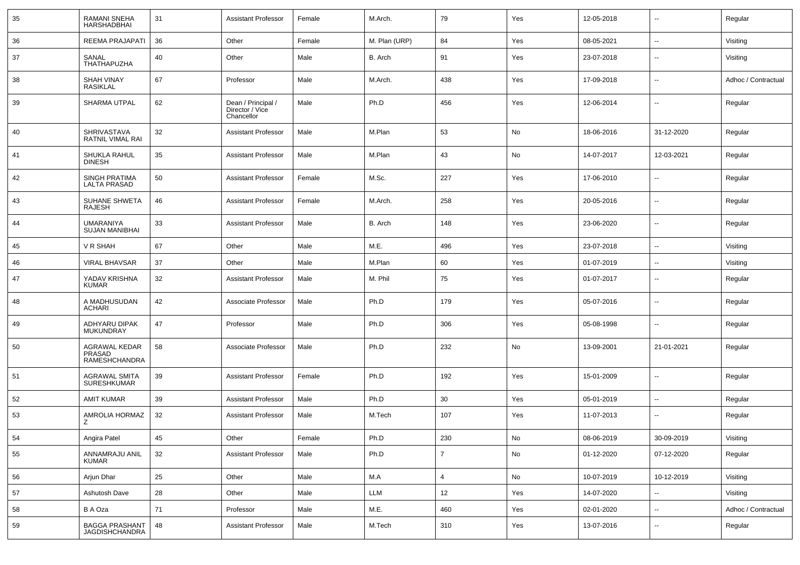| 35 | <b>RAMANI SNEHA</b><br><b>HARSHADBHAI</b>      | 31 | <b>Assistant Professor</b>                          | Female | M.Arch.       | 79             | Yes | 12-05-2018 | --                       | Regular             |
|----|------------------------------------------------|----|-----------------------------------------------------|--------|---------------|----------------|-----|------------|--------------------------|---------------------|
| 36 | REEMA PRAJAPATI                                | 36 | Other                                               | Female | M. Plan (URP) | 84             | Yes | 08-05-2021 | $\overline{\phantom{a}}$ | Visiting            |
| 37 | SANAL<br>THATHAPUZHA                           | 40 | Other                                               | Male   | B. Arch       | 91             | Yes | 23-07-2018 | --                       | Visiting            |
| 38 | <b>SHAH VINAY</b><br><b>RASIKLAL</b>           | 67 | Professor                                           | Male   | M.Arch.       | 438            | Yes | 17-09-2018 | --                       | Adhoc / Contractual |
| 39 | <b>SHARMA UTPAL</b>                            | 62 | Dean / Principal /<br>Director / Vice<br>Chancellor | Male   | Ph.D          | 456            | Yes | 12-06-2014 | --                       | Regular             |
| 40 | SHRIVASTAVA<br>RATNIL VIMAL RAI                | 32 | <b>Assistant Professor</b>                          | Male   | M.Plan        | 53             | No  | 18-06-2016 | 31-12-2020               | Regular             |
| 41 | SHUKLA RAHUL<br><b>DINESH</b>                  | 35 | <b>Assistant Professor</b>                          | Male   | M.Plan        | 43             | No  | 14-07-2017 | 12-03-2021               | Regular             |
| 42 | <b>SINGH PRATIMA</b><br><b>LALTA PRASAD</b>    | 50 | <b>Assistant Professor</b>                          | Female | M.Sc.         | 227            | Yes | 17-06-2010 | --                       | Regular             |
| 43 | SUHANE SHWETA<br>RAJESH                        | 46 | <b>Assistant Professor</b>                          | Female | M.Arch.       | 258            | Yes | 20-05-2016 | $\overline{\phantom{a}}$ | Regular             |
| 44 | UMARANIYA<br><b>SUJAN MANIBHAI</b>             | 33 | <b>Assistant Professor</b>                          | Male   | B. Arch       | 148            | Yes | 23-06-2020 | $\sim$                   | Regular             |
| 45 | V R SHAH                                       | 67 | Other                                               | Male   | M.E.          | 496            | Yes | 23-07-2018 | $\overline{\phantom{a}}$ | Visiting            |
| 46 | <b>VIRAL BHAVSAR</b>                           | 37 | Other                                               | Male   | M.Plan        | 60             | Yes | 01-07-2019 | -−                       | Visiting            |
| 47 | YADAV KRISHNA<br><b>KUMAR</b>                  | 32 | <b>Assistant Professor</b>                          | Male   | M. Phil       | 75             | Yes | 01-07-2017 | $\overline{\phantom{a}}$ | Regular             |
| 48 | A MADHUSUDAN<br><b>ACHARI</b>                  | 42 | Associate Professor                                 | Male   | Ph.D          | 179            | Yes | 05-07-2016 | $\overline{\phantom{a}}$ | Regular             |
| 49 | ADHYARU DIPAK<br>MUKUNDRAY                     | 47 | Professor                                           | Male   | Ph.D          | 306            | Yes | 05-08-1998 | $\overline{\phantom{a}}$ | Regular             |
| 50 | AGRAWAL KEDAR<br>PRASAD<br>RAMESHCHANDRA       | 58 | Associate Professor                                 | Male   | Ph.D          | 232            | No  | 13-09-2001 | 21-01-2021               | Regular             |
| 51 | <b>AGRAWAL SMITA</b><br><b>SURESHKUMAR</b>     | 39 | <b>Assistant Professor</b>                          | Female | Ph.D          | 192            | Yes | 15-01-2009 | --                       | Regular             |
| 52 | <b>AMIT KUMAR</b>                              | 39 | <b>Assistant Professor</b>                          | Male   | Ph.D          | 30             | Yes | 05-01-2019 | --                       | Regular             |
| 53 | AMROLIA HORMAZ<br>Z                            | 32 | <b>Assistant Professor</b>                          | Male   | M.Tech        | 107            | Yes | 11-07-2013 | $\overline{\phantom{a}}$ | Regular             |
| 54 | Angira Patel                                   | 45 | Other                                               | Female | Ph.D          | 230            | No  | 08-06-2019 | 30-09-2019               | Visiting            |
| 55 | ANNAMRAJU ANIL<br><b>KUMAR</b>                 | 32 | <b>Assistant Professor</b>                          | Male   | Ph.D          | $\overline{7}$ | No  | 01-12-2020 | 07-12-2020               | Regular             |
| 56 | Arjun Dhar                                     | 25 | Other                                               | Male   | M.A           | $\overline{4}$ | No  | 10-07-2019 | 10-12-2019               | Visiting            |
| 57 | Ashutosh Dave                                  | 28 | Other                                               | Male   | LLM           | 12             | Yes | 14-07-2020 |                          | Visiting            |
| 58 | B A Oza                                        | 71 | Professor                                           | Male   | M.E.          | 460            | Yes | 02-01-2020 | Щ,                       | Adhoc / Contractual |
| 59 | <b>BAGGA PRASHANT</b><br><b>JAGDISHCHANDRA</b> | 48 | <b>Assistant Professor</b>                          | Male   | M.Tech        | 310            | Yes | 13-07-2016 | $\sim$                   | Regular             |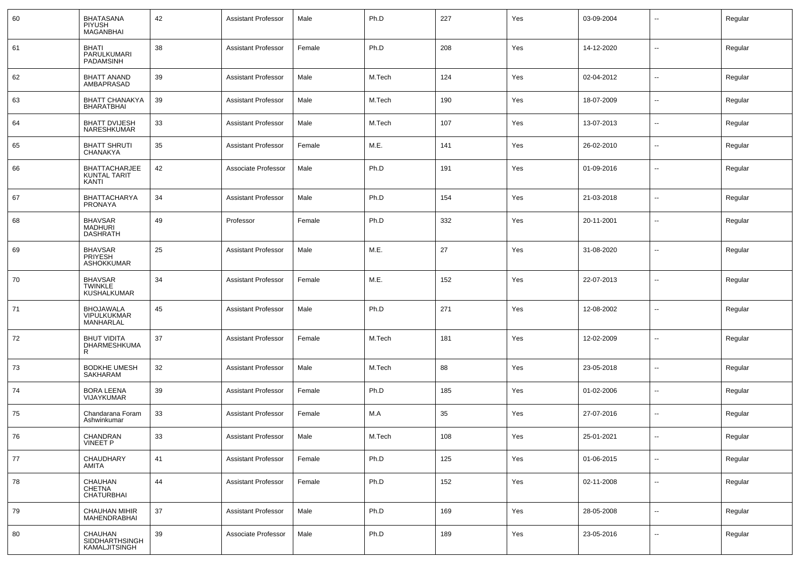| 60 | <b>BHATASANA</b><br>PIYUSH<br><b>MAGANBHAI</b>         | 42 | <b>Assistant Professor</b> | Male   | Ph.D   | 227 | Yes | 03-09-2004 | $\overline{\phantom{a}}$ | Regular |
|----|--------------------------------------------------------|----|----------------------------|--------|--------|-----|-----|------------|--------------------------|---------|
| 61 | <b>BHATI</b><br>PARULKUMARI<br><b>PADAMSINH</b>        | 38 | <b>Assistant Professor</b> | Female | Ph.D   | 208 | Yes | 14-12-2020 | $\sim$                   | Regular |
| 62 | <b>BHATT ANAND</b><br>AMBAPRASAD                       | 39 | <b>Assistant Professor</b> | Male   | M.Tech | 124 | Yes | 02-04-2012 | $\overline{\phantom{a}}$ | Regular |
| 63 | <b>BHATT CHANAKYA</b><br><b>BHARATBHAI</b>             | 39 | <b>Assistant Professor</b> | Male   | M.Tech | 190 | Yes | 18-07-2009 | $\overline{\phantom{a}}$ | Regular |
| 64 | <b>BHATT DVIJESH</b><br>NARESHKUMAR                    | 33 | <b>Assistant Professor</b> | Male   | M.Tech | 107 | Yes | 13-07-2013 | $\overline{\phantom{a}}$ | Regular |
| 65 | <b>BHATT SHRUTI</b><br><b>CHANAKYA</b>                 | 35 | <b>Assistant Professor</b> | Female | M.E.   | 141 | Yes | 26-02-2010 | $\overline{\phantom{a}}$ | Regular |
| 66 | <b>BHATTACHARJEE</b><br><b>KUNTAL TARIT</b><br>KANTI   | 42 | Associate Professor        | Male   | Ph.D   | 191 | Yes | 01-09-2016 | $\overline{\phantom{a}}$ | Regular |
| 67 | BHATTACHARYA<br><b>PRONAYA</b>                         | 34 | <b>Assistant Professor</b> | Male   | Ph.D   | 154 | Yes | 21-03-2018 | $\overline{\phantom{a}}$ | Regular |
| 68 | <b>BHAVSAR</b><br><b>MADHURI</b><br><b>DASHRATH</b>    | 49 | Professor                  | Female | Ph.D   | 332 | Yes | 20-11-2001 | $\overline{\phantom{a}}$ | Regular |
| 69 | <b>BHAVSAR</b><br><b>PRIYESH</b><br><b>ASHOKKUMAR</b>  | 25 | <b>Assistant Professor</b> | Male   | M.E.   | 27  | Yes | 31-08-2020 | $\overline{\phantom{a}}$ | Regular |
| 70 | <b>BHAVSAR</b><br><b>TWINKLE</b><br><b>KUSHALKUMAR</b> | 34 | <b>Assistant Professor</b> | Female | M.E.   | 152 | Yes | 22-07-2013 | $\overline{\phantom{a}}$ | Regular |
| 71 | <b>BHOJAWALA</b><br><b>VIPULKUKMAR</b><br>MANHARLAL    | 45 | <b>Assistant Professor</b> | Male   | Ph.D   | 271 | Yes | 12-08-2002 | $\overline{\phantom{a}}$ | Regular |
| 72 | <b>BHUT VIDITA</b><br>DHARMESHKUMA<br>R                | 37 | <b>Assistant Professor</b> | Female | M.Tech | 181 | Yes | 12-02-2009 | $\overline{\phantom{a}}$ | Regular |
| 73 | <b>BODKHE UMESH</b><br>SAKHARAM                        | 32 | <b>Assistant Professor</b> | Male   | M.Tech | 88  | Yes | 23-05-2018 | $\overline{\phantom{a}}$ | Regular |
| 74 | <b>BORA LEENA</b><br><b>VIJAYKUMAR</b>                 | 39 | <b>Assistant Professor</b> | Female | Ph.D   | 185 | Yes | 01-02-2006 | $\overline{\phantom{a}}$ | Regular |
| 75 | Chandarana Foram<br>Ashwinkumar                        | 33 | <b>Assistant Professor</b> | Female | M.A    | 35  | Yes | 27-07-2016 | $\overline{\phantom{a}}$ | Regular |
| 76 | CHANDRAN<br><b>VINEET P</b>                            | 33 | Assistant Professor        | Male   | M.Tech | 108 | Yes | 25-01-2021 |                          | Regular |
| 77 | CHAUDHARY<br>AMITA                                     | 41 | <b>Assistant Professor</b> | Female | Ph.D   | 125 | Yes | 01-06-2015 | $\overline{\phantom{a}}$ | Regular |
| 78 | CHAUHAN<br>CHETNA<br>CHATURBHAI                        | 44 | <b>Assistant Professor</b> | Female | Ph.D   | 152 | Yes | 02-11-2008 | $\overline{\phantom{a}}$ | Regular |
| 79 | CHAUHAN MIHIR<br>MAHENDRABHAI                          | 37 | <b>Assistant Professor</b> | Male   | Ph.D   | 169 | Yes | 28-05-2008 | $\overline{\phantom{a}}$ | Regular |
| 80 | CHAUHAN<br>SIDDHARTHSINGH<br>KAMALJITSINGH             | 39 | Associate Professor        | Male   | Ph.D   | 189 | Yes | 23-05-2016 | $\overline{\phantom{a}}$ | Regular |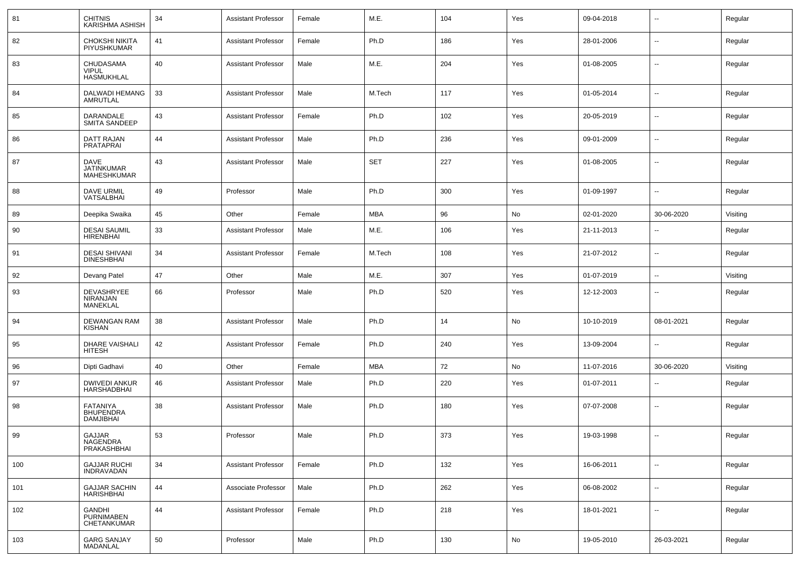| 81  | <b>CHITNIS</b><br><b>KARISHMA ASHISH</b>                | 34 | <b>Assistant Professor</b> | Female | M.E.       | 104 | Yes | 09-04-2018 | $\overline{\phantom{a}}$ | Regular  |
|-----|---------------------------------------------------------|----|----------------------------|--------|------------|-----|-----|------------|--------------------------|----------|
| 82  | CHOKSHI NIKITA<br>PIYUSHKUMAR                           | 41 | <b>Assistant Professor</b> | Female | Ph.D       | 186 | Yes | 28-01-2006 | $\overline{\phantom{a}}$ | Regular  |
| 83  | CHUDASAMA<br><b>VIPUL</b><br>HASMUKHLAL                 | 40 | <b>Assistant Professor</b> | Male   | M.E.       | 204 | Yes | 01-08-2005 | $\overline{\phantom{a}}$ | Regular  |
| 84  | DALWADI HEMANG<br>AMRUTLAL                              | 33 | <b>Assistant Professor</b> | Male   | M.Tech     | 117 | Yes | 01-05-2014 | $\overline{\phantom{a}}$ | Regular  |
| 85  | DARANDALE<br><b>SMITA SANDEEP</b>                       | 43 | <b>Assistant Professor</b> | Female | Ph.D       | 102 | Yes | 20-05-2019 | $\overline{\phantom{a}}$ | Regular  |
| 86  | DATT RAJAN<br>PRATAPRAI                                 | 44 | <b>Assistant Professor</b> | Male   | Ph.D       | 236 | Yes | 09-01-2009 | $\overline{\phantom{a}}$ | Regular  |
| 87  | <b>DAVE</b><br>JATINKUMAR<br><b>MAHESHKUMAR</b>         | 43 | <b>Assistant Professor</b> | Male   | <b>SET</b> | 227 | Yes | 01-08-2005 | $\overline{\phantom{a}}$ | Regular  |
| 88  | DAVE URMIL<br>VATSALBHAI                                | 49 | Professor                  | Male   | Ph.D       | 300 | Yes | 01-09-1997 | $\sim$                   | Regular  |
| 89  | Deepika Swaika                                          | 45 | Other                      | Female | <b>MBA</b> | 96  | No  | 02-01-2020 | 30-06-2020               | Visiting |
| 90  | <b>DESAI SAUMIL</b><br><b>HIRENBHAI</b>                 | 33 | <b>Assistant Professor</b> | Male   | M.E.       | 106 | Yes | 21-11-2013 | $\overline{\phantom{a}}$ | Regular  |
| 91  | <b>DESAI SHIVANI</b><br><b>DINESHBHAI</b>               | 34 | <b>Assistant Professor</b> | Female | M.Tech     | 108 | Yes | 21-07-2012 | $\overline{\phantom{a}}$ | Regular  |
| 92  | Devang Patel                                            | 47 | Other                      | Male   | M.E.       | 307 | Yes | 01-07-2019 | $\overline{\phantom{a}}$ | Visiting |
| 93  | DEVASHRYEE<br>NIRANJAN<br><b>MANEKLAL</b>               | 66 | Professor                  | Male   | Ph.D       | 520 | Yes | 12-12-2003 | $\overline{\phantom{a}}$ | Regular  |
| 94  | <b>DEWANGAN RAM</b><br><b>KISHAN</b>                    | 38 | <b>Assistant Professor</b> | Male   | Ph.D       | 14  | No  | 10-10-2019 | 08-01-2021               | Regular  |
| 95  | <b>DHARE VAISHALI</b><br>HITESH                         | 42 | <b>Assistant Professor</b> | Female | Ph.D       | 240 | Yes | 13-09-2004 | $\overline{\phantom{a}}$ | Regular  |
| 96  | Dipti Gadhavi                                           | 40 | Other                      | Female | <b>MBA</b> | 72  | No  | 11-07-2016 | 30-06-2020               | Visiting |
| 97  | <b>DWIVEDI ANKUR</b><br>HARSHADBHAI                     | 46 | <b>Assistant Professor</b> | Male   | Ph.D       | 220 | Yes | 01-07-2011 | $\overline{\phantom{a}}$ | Regular  |
| 98  | <b>FATANIYA</b><br><b>BHUPENDRA</b><br><b>DAMJIBHAI</b> | 38 | <b>Assistant Professor</b> | Male   | Ph.D       | 180 | Yes | 07-07-2008 | $\sim$                   | Regular  |
| 99  | GA.I.IAR<br>NAGENDRA<br>PRAKASHBHAI                     | 53 | Professor                  | Male   | Ph.D       | 373 | Yes | 19-03-1998 |                          | Regular  |
| 100 | <b>GAJJAR RUCHI</b><br><b>INDRAVADAN</b>                | 34 | <b>Assistant Professor</b> | Female | Ph.D       | 132 | Yes | 16-06-2011 | Ξ.                       | Regular  |
| 101 | <b>GAJJAR SACHIN</b><br><b>HARISHBHAI</b>               | 44 | Associate Professor        | Male   | Ph.D       | 262 | Yes | 06-08-2002 | $\sim$                   | Regular  |
| 102 | GANDHI<br><b>PURNIMABEN</b><br>CHETANKUMAR              | 44 | <b>Assistant Professor</b> | Female | Ph.D       | 218 | Yes | 18-01-2021 | $\overline{\phantom{a}}$ | Regular  |
| 103 | <b>GARG SANJAY</b><br><b>MADANLAL</b>                   | 50 | Professor                  | Male   | Ph.D       | 130 | No  | 19-05-2010 | 26-03-2021               | Regular  |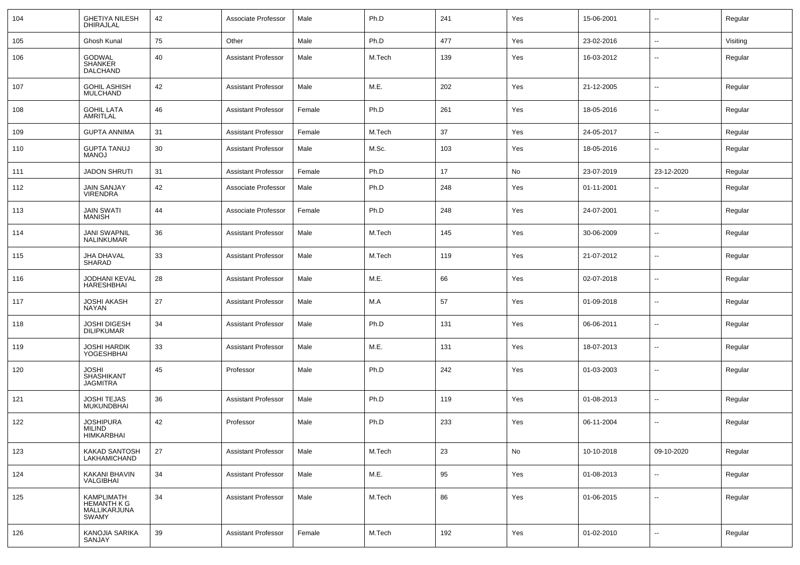| 104 | <b>GHETIYA NILESH</b><br>DHIRAJLAL                        | 42 | Associate Professor        | Male   | Ph.D   | 241 | Yes | 15-06-2001 | $\sim$                   | Regular  |
|-----|-----------------------------------------------------------|----|----------------------------|--------|--------|-----|-----|------------|--------------------------|----------|
| 105 | Ghosh Kunal                                               | 75 | Other                      | Male   | Ph.D   | 477 | Yes | 23-02-2016 | $\sim$                   | Visiting |
| 106 | <b>GODWAL</b><br><b>SHANKER</b><br>DALCHAND               | 40 | <b>Assistant Professor</b> | Male   | M.Tech | 139 | Yes | 16-03-2012 | --                       | Regular  |
| 107 | <b>GOHIL ASHISH</b><br>MULCHAND                           | 42 | <b>Assistant Professor</b> | Male   | M.E.   | 202 | Yes | 21-12-2005 | $\sim$                   | Regular  |
| 108 | <b>GOHIL LATA</b><br>AMRITLAL                             | 46 | <b>Assistant Professor</b> | Female | Ph.D   | 261 | Yes | 18-05-2016 | $\sim$                   | Regular  |
| 109 | <b>GUPTA ANNIMA</b>                                       | 31 | <b>Assistant Professor</b> | Female | M.Tech | 37  | Yes | 24-05-2017 | $\sim$                   | Regular  |
| 110 | <b>GUPTA TANUJ</b><br>MANOJ                               | 30 | <b>Assistant Professor</b> | Male   | M.Sc.  | 103 | Yes | 18-05-2016 | ۰.                       | Regular  |
| 111 | <b>JADON SHRUTI</b>                                       | 31 | <b>Assistant Professor</b> | Female | Ph.D   | 17  | No  | 23-07-2019 | 23-12-2020               | Regular  |
| 112 | <b>JAIN SANJAY</b><br><b>VIRENDRA</b>                     | 42 | Associate Professor        | Male   | Ph.D   | 248 | Yes | 01-11-2001 | $\overline{\phantom{a}}$ | Regular  |
| 113 | <b>JAIN SWATI</b><br>MANISH                               | 44 | Associate Professor        | Female | Ph.D   | 248 | Yes | 24-07-2001 | $\overline{\phantom{a}}$ | Regular  |
| 114 | JANI SWAPNIL<br>NALINKUMAR                                | 36 | <b>Assistant Professor</b> | Male   | M.Tech | 145 | Yes | 30-06-2009 | $\overline{\phantom{a}}$ | Regular  |
| 115 | JHA DHAVAL<br>SHARAD                                      | 33 | <b>Assistant Professor</b> | Male   | M.Tech | 119 | Yes | 21-07-2012 | $\overline{\phantom{a}}$ | Regular  |
| 116 | JODHANI KEVAL<br><b>HARESHBHAI</b>                        | 28 | <b>Assistant Professor</b> | Male   | M.E.   | 66  | Yes | 02-07-2018 | $\overline{\phantom{a}}$ | Regular  |
| 117 | JOSHI AKASH<br>NAYAN                                      | 27 | <b>Assistant Professor</b> | Male   | M.A    | 57  | Yes | 01-09-2018 | $\sim$                   | Regular  |
| 118 | JOSHI DIGESH<br><b>DILIPKUMAR</b>                         | 34 | <b>Assistant Professor</b> | Male   | Ph.D   | 131 | Yes | 06-06-2011 | $\overline{\phantom{a}}$ | Regular  |
| 119 | JOSHI HARDIK<br>YOGESHBHAI                                | 33 | <b>Assistant Professor</b> | Male   | M.E.   | 131 | Yes | 18-07-2013 | $\sim$                   | Regular  |
| 120 | JOSHI<br><b>SHASHIKANT</b><br>JAGMITRA                    | 45 | Professor                  | Male   | Ph.D   | 242 | Yes | 01-03-2003 | $\sim$                   | Regular  |
| 121 | JOSHI TEJAS<br>MUKUNDBHAI                                 | 36 | <b>Assistant Professor</b> | Male   | Ph.D   | 119 | Yes | 01-08-2013 | --                       | Regular  |
| 122 | <b>JOSHIPURA</b><br>MILIND<br>HIMKARBHAI                  | 42 | Professor                  | Male   | Ph.D   | 233 | Yes | 06-11-2004 | --                       | Regular  |
| 123 | <b>KAKAD SANTOSH</b><br>LAKHAMICHAND                      | 27 | <b>Assistant Professor</b> | Male   | M.Tech | 23  | No  | 10-10-2018 | 09-10-2020               | Regular  |
| 124 | <b>KAKANI BHAVIN</b><br>VALGIBHAI                         | 34 | <b>Assistant Professor</b> | Male   | M.E.   | 95  | Yes | 01-08-2013 | $\sim$                   | Regular  |
| 125 | KAMPLIMATH<br><b>HEMANTH K G</b><br>MALLIKARJUNA<br>SWAMY | 34 | <b>Assistant Professor</b> | Male   | M.Tech | 86  | Yes | 01-06-2015 | $\sim$                   | Regular  |
| 126 | KANOJIA SARIKA<br>SANJAY                                  | 39 | <b>Assistant Professor</b> | Female | M.Tech | 192 | Yes | 01-02-2010 | Ξ.                       | Regular  |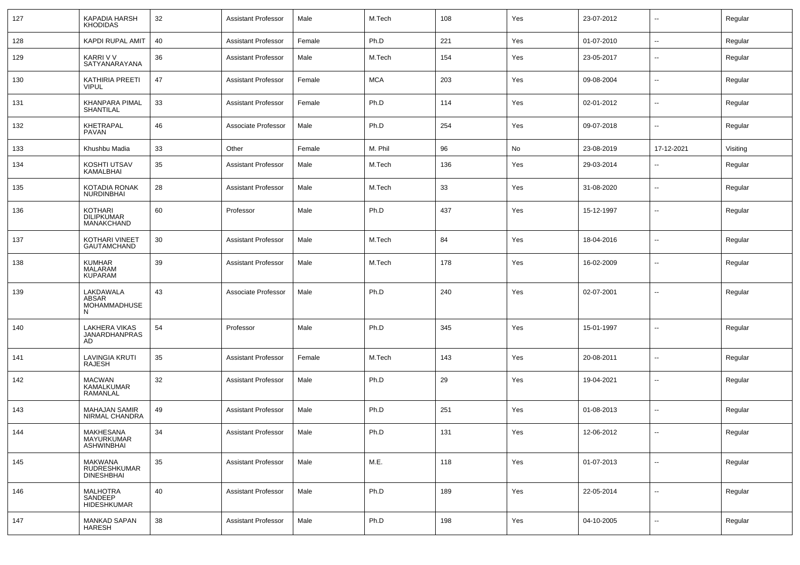| 127 | KAPADIA HARSH<br><b>KHODIDAS</b>                           | 32 | <b>Assistant Professor</b> | Male   | M.Tech     | 108 | Yes | 23-07-2012 | $\overline{\phantom{a}}$ | Regular  |
|-----|------------------------------------------------------------|----|----------------------------|--------|------------|-----|-----|------------|--------------------------|----------|
| 128 | <b>KAPDI RUPAL AMIT</b>                                    | 40 | <b>Assistant Professor</b> | Female | Ph.D       | 221 | Yes | 01-07-2010 | $\sim$                   | Regular  |
| 129 | KARRI V V<br>SATYANARAYANA                                 | 36 | <b>Assistant Professor</b> | Male   | M.Tech     | 154 | Yes | 23-05-2017 | $\overline{\phantom{a}}$ | Regular  |
| 130 | <b>KATHIRIA PREETI</b><br><b>VIPUL</b>                     | 47 | <b>Assistant Professor</b> | Female | <b>MCA</b> | 203 | Yes | 09-08-2004 | $\overline{\phantom{a}}$ | Regular  |
| 131 | KHANPARA PIMAL<br>SHANTILAL                                | 33 | <b>Assistant Professor</b> | Female | Ph.D       | 114 | Yes | 02-01-2012 | $\overline{\phantom{a}}$ | Regular  |
| 132 | <b>KHETRAPAL</b><br>PAVAN                                  | 46 | Associate Professor        | Male   | Ph.D       | 254 | Yes | 09-07-2018 | $\mathbf{u}$             | Regular  |
| 133 | Khushbu Madia                                              | 33 | Other                      | Female | M. Phil    | 96  | No  | 23-08-2019 | 17-12-2021               | Visiting |
| 134 | KOSHTI UTSAV<br>KAMALBHAI                                  | 35 | <b>Assistant Professor</b> | Male   | M.Tech     | 136 | Yes | 29-03-2014 | $\overline{\phantom{a}}$ | Regular  |
| 135 | KOTADIA RONAK<br>NURDINBHAI                                | 28 | <b>Assistant Professor</b> | Male   | M.Tech     | 33  | Yes | 31-08-2020 | $\overline{\phantom{a}}$ | Regular  |
| 136 | <b>KOTHARI</b><br><b>DILIPKUMAR</b><br>MANAKCHAND          | 60 | Professor                  | Male   | Ph.D       | 437 | Yes | 15-12-1997 | $\overline{\phantom{a}}$ | Regular  |
| 137 | KOTHARI VINEET<br>GAUTAMCHAND                              | 30 | <b>Assistant Professor</b> | Male   | M.Tech     | 84  | Yes | 18-04-2016 | --                       | Regular  |
| 138 | <b>KUMHAR</b><br>MALARAM<br><b>KUPARAM</b>                 | 39 | <b>Assistant Professor</b> | Male   | M.Tech     | 178 | Yes | 16-02-2009 | --                       | Regular  |
| 139 | LAKDAWALA<br>ABSAR<br>MOHAMMADHUSE<br>N                    | 43 | Associate Professor        | Male   | Ph.D       | 240 | Yes | 02-07-2001 | $\overline{\phantom{a}}$ | Regular  |
| 140 | LAKHERA VIKAS<br><b>JANARDHANPRAS</b><br>AD                | 54 | Professor                  | Male   | Ph.D       | 345 | Yes | 15-01-1997 | $\mathbf{u}$             | Regular  |
| 141 | <b>LAVINGIA KRUTI</b><br>RAJESH                            | 35 | <b>Assistant Professor</b> | Female | M.Tech     | 143 | Yes | 20-08-2011 | --                       | Regular  |
| 142 | <b>MACWAN</b><br>KAMALKUMAR<br><b>RAMANLAL</b>             | 32 | <b>Assistant Professor</b> | Male   | Ph.D       | 29  | Yes | 19-04-2021 | $\overline{\phantom{a}}$ | Regular  |
| 143 | MAHAJAN SAMIR<br>NIRMAL CHANDRA                            | 49 | <b>Assistant Professor</b> | Male   | Ph.D       | 251 | Yes | 01-08-2013 | $\overline{\phantom{a}}$ | Regular  |
| 144 | MAKHESANA<br>MAYURKUMAR<br><b>ASHWINBHAI</b>               | 34 | <b>Assistant Professor</b> | Male   | Ph.D       | 131 | Yes | 12-06-2012 | $\overline{\phantom{a}}$ | Regular  |
| 145 | <b>MAKWANA</b><br><b>RUDRESHKUMAR</b><br><b>DINESHBHAI</b> | 35 | <b>Assistant Professor</b> | Male   | M.E.       | 118 | Yes | 01-07-2013 | $\mathbf{u}$             | Regular  |
| 146 | <b>MALHOTRA</b><br>SANDEEP<br>HIDESHKUMAR                  | 40 | <b>Assistant Professor</b> | Male   | Ph.D       | 189 | Yes | 22-05-2014 | $\sim$                   | Regular  |
| 147 | <b>MANKAD SAPAN</b><br>HARESH                              | 38 | <b>Assistant Professor</b> | Male   | Ph.D       | 198 | Yes | 04-10-2005 | $\overline{\phantom{a}}$ | Regular  |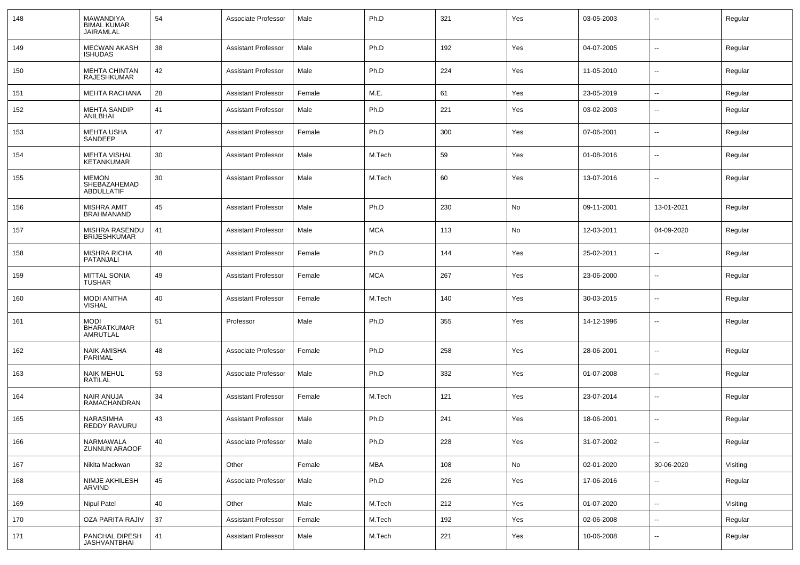| 148 | MAWANDIYA<br><b>BIMAL KUMAR</b><br>JAIRAMLAL      | 54 | Associate Professor        | Male   | Ph.D       | 321 | Yes | 03-05-2003 | --                       | Regular  |
|-----|---------------------------------------------------|----|----------------------------|--------|------------|-----|-----|------------|--------------------------|----------|
| 149 | <b>MECWAN AKASH</b><br><b>ISHUDAS</b>             | 38 | <b>Assistant Professor</b> | Male   | Ph.D       | 192 | Yes | 04-07-2005 | $\mathbf{u}$             | Regular  |
| 150 | <b>MEHTA CHINTAN</b><br>RAJESHKUMAR               | 42 | <b>Assistant Professor</b> | Male   | Ph.D       | 224 | Yes | 11-05-2010 | $\overline{\phantom{a}}$ | Regular  |
| 151 | <b>MEHTA RACHANA</b>                              | 28 | <b>Assistant Professor</b> | Female | M.E.       | 61  | Yes | 23-05-2019 | $\sim$                   | Regular  |
| 152 | <b>MEHTA SANDIP</b><br>ANILBHAI                   | 41 | <b>Assistant Professor</b> | Male   | Ph.D       | 221 | Yes | 03-02-2003 | $\sim$                   | Regular  |
| 153 | MEHTA USHA<br>SANDEEP                             | 47 | Assistant Professor        | Female | Ph.D       | 300 | Yes | 07-06-2001 | $\sim$                   | Regular  |
| 154 | <b>MEHTA VISHAL</b><br><b>KETANKUMAR</b>          | 30 | <b>Assistant Professor</b> | Male   | M.Tech     | 59  | Yes | 01-08-2016 | $\sim$                   | Regular  |
| 155 | <b>MEMON</b><br>SHEBAZAHEMAD<br><b>ABDULLATIF</b> | 30 | Assistant Professor        | Male   | M.Tech     | 60  | Yes | 13-07-2016 | $\sim$                   | Regular  |
| 156 | <b>MISHRA AMIT</b><br><b>BRAHMANAND</b>           | 45 | <b>Assistant Professor</b> | Male   | Ph.D       | 230 | No  | 09-11-2001 | 13-01-2021               | Regular  |
| 157 | MISHRA RASENDU<br><b>BRIJESHKUMAR</b>             | 41 | <b>Assistant Professor</b> | Male   | <b>MCA</b> | 113 | No  | 12-03-2011 | 04-09-2020               | Regular  |
| 158 | <b>MISHRA RICHA</b><br>PATANJALI                  | 48 | <b>Assistant Professor</b> | Female | Ph.D       | 144 | Yes | 25-02-2011 | $\sim$                   | Regular  |
| 159 | <b>MITTAL SONIA</b><br>TUSHAR                     | 49 | Assistant Professor        | Female | <b>MCA</b> | 267 | Yes | 23-06-2000 | $\overline{\phantom{a}}$ | Regular  |
| 160 | MODI ANITHA<br><b>VISHAL</b>                      | 40 | <b>Assistant Professor</b> | Female | M.Tech     | 140 | Yes | 30-03-2015 | $\sim$                   | Regular  |
| 161 | <b>MODI</b><br><b>BHARATKUMAR</b><br>AMRUTLAL     | 51 | Professor                  | Male   | Ph.D       | 355 | Yes | 14-12-1996 | $\mathbf{u}$             | Regular  |
| 162 | NAIK AMISHA<br>PARIMAL                            | 48 | Associate Professor        | Female | Ph.D       | 258 | Yes | 28-06-2001 | --                       | Regular  |
| 163 | <b>NAIK MEHUL</b><br>RATILAL                      | 53 | Associate Professor        | Male   | Ph.D       | 332 | Yes | 01-07-2008 | $\overline{\phantom{a}}$ | Regular  |
| 164 | NAIR ANUJA<br><b>RAMACHANDRAN</b>                 | 34 | <b>Assistant Professor</b> | Female | M.Tech     | 121 | Yes | 23-07-2014 | $\overline{\phantom{a}}$ | Regular  |
| 165 | NARASIMHA<br><b>REDDY RAVURU</b>                  | 43 | <b>Assistant Professor</b> | Male   | Ph.D       | 241 | Yes | 18-06-2001 | $\mathbf{u}$             | Regular  |
| 166 | NARMAWALA<br>ZUNNUN ARAOOF                        | 40 | Associate Professor        | Male   | Ph.D       | 228 | Yes | 31-07-2002 | $\sim$                   | Regular  |
| 167 | Nikita Mackwan                                    | 32 | Other                      | Female | <b>MBA</b> | 108 | No  | 02-01-2020 | 30-06-2020               | Visiting |
| 168 | NIMJE AKHILESH<br>ARVIND                          | 45 | Associate Professor        | Male   | Ph.D       | 226 | Yes | 17-06-2016 | $\sim$                   | Regular  |
| 169 | <b>Nipul Patel</b>                                | 40 | Other                      | Male   | M.Tech     | 212 | Yes | 01-07-2020 | $\sim$                   | Visiting |
| 170 | OZA PARITA RAJIV                                  | 37 | <b>Assistant Professor</b> | Female | M.Tech     | 192 | Yes | 02-06-2008 | $\sim$                   | Regular  |
| 171 | PANCHAL DIPESH<br><b>JASHVANTBHAI</b>             | 41 | <b>Assistant Professor</b> | Male   | M.Tech     | 221 | Yes | 10-06-2008 | $\sim$                   | Regular  |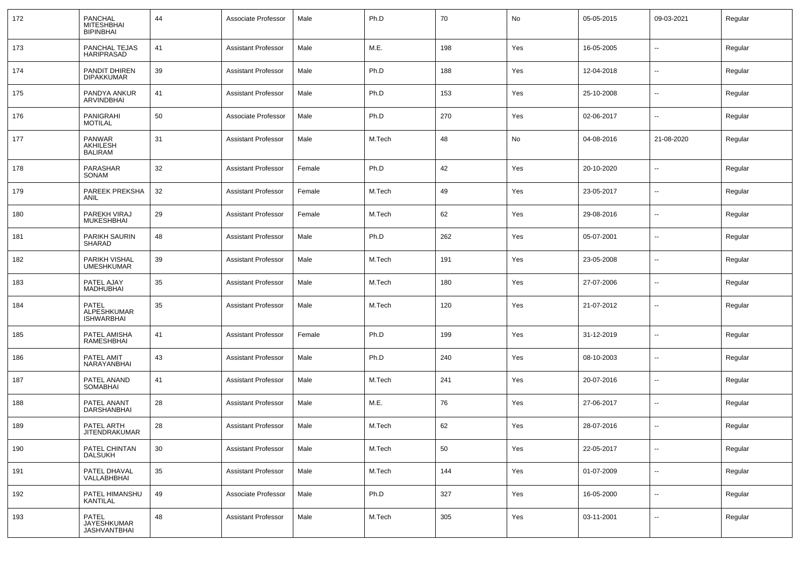| 172 | PANCHAL<br><b>MITESHBHAI</b><br><b>BIPINBHAI</b> | 44 | Associate Professor        | Male   | Ph.D   | 70  | No  | 05-05-2015 | 09-03-2021               | Regular |
|-----|--------------------------------------------------|----|----------------------------|--------|--------|-----|-----|------------|--------------------------|---------|
| 173 | PANCHAL TEJAS<br>HARIPRASAD                      | 41 | <b>Assistant Professor</b> | Male   | M.E.   | 198 | Yes | 16-05-2005 | $\overline{\phantom{a}}$ | Regular |
| 174 | PANDIT DHIREN<br><b>DIPAKKUMAR</b>               | 39 | <b>Assistant Professor</b> | Male   | Ph.D   | 188 | Yes | 12-04-2018 | $\overline{\phantom{a}}$ | Regular |
| 175 | PANDYA ANKUR<br>ARVINDBHAI                       | 41 | <b>Assistant Professor</b> | Male   | Ph.D   | 153 | Yes | 25-10-2008 | $\overline{\phantom{a}}$ | Regular |
| 176 | PANIGRAHI<br><b>MOTILAL</b>                      | 50 | Associate Professor        | Male   | Ph.D   | 270 | Yes | 02-06-2017 | $\overline{\phantom{a}}$ | Regular |
| 177 | PANWAR<br>AKHILESH<br><b>BALIRAM</b>             | 31 | <b>Assistant Professor</b> | Male   | M.Tech | 48  | No  | 04-08-2016 | 21-08-2020               | Regular |
| 178 | PARASHAR<br>SONAM                                | 32 | <b>Assistant Professor</b> | Female | Ph.D   | 42  | Yes | 20-10-2020 | $\overline{\phantom{a}}$ | Regular |
| 179 | PAREEK PREKSHA<br>ANIL                           | 32 | <b>Assistant Professor</b> | Female | M.Tech | 49  | Yes | 23-05-2017 | $\overline{\phantom{a}}$ | Regular |
| 180 | PAREKH VIRAJ<br><b>MUKESHBHAI</b>                | 29 | <b>Assistant Professor</b> | Female | M.Tech | 62  | Yes | 29-08-2016 | $\overline{\phantom{a}}$ | Regular |
| 181 | PARIKH SAURIN<br>SHARAD                          | 48 | <b>Assistant Professor</b> | Male   | Ph.D   | 262 | Yes | 05-07-2001 | $\overline{\phantom{a}}$ | Regular |
| 182 | PARIKH VISHAL<br><b>UMESHKUMAR</b>               | 39 | <b>Assistant Professor</b> | Male   | M.Tech | 191 | Yes | 23-05-2008 | $\overline{\phantom{a}}$ | Regular |
| 183 | PATEL AJAY<br><b>MADHUBHAI</b>                   | 35 | <b>Assistant Professor</b> | Male   | M.Tech | 180 | Yes | 27-07-2006 | $\overline{\phantom{a}}$ | Regular |
| 184 | <b>PATEL</b><br>ALPESHKUMAR<br><b>ISHWARBHAI</b> | 35 | <b>Assistant Professor</b> | Male   | M.Tech | 120 | Yes | 21-07-2012 | $\overline{\phantom{a}}$ | Regular |
| 185 | PATEL AMISHA<br>RAMESHBHAI                       | 41 | <b>Assistant Professor</b> | Female | Ph.D   | 199 | Yes | 31-12-2019 | --                       | Regular |
| 186 | PATEL AMIT<br>NARAYANBHAI                        | 43 | <b>Assistant Professor</b> | Male   | Ph.D   | 240 | Yes | 08-10-2003 | --                       | Regular |
| 187 | PATEL ANAND<br>SOMABHAI                          | 41 | <b>Assistant Professor</b> | Male   | M.Tech | 241 | Yes | 20-07-2016 | --                       | Regular |
| 188 | PATEL ANANT<br>DARSHANBHAI                       | 28 | <b>Assistant Professor</b> | Male   | M.E.   | 76  | Yes | 27-06-2017 | --                       | Regular |
| 189 | PATEL ARTH<br><b>JITENDRAKUMAR</b>               | 28 | <b>Assistant Professor</b> | Male   | M.Tech | 62  | Yes | 28-07-2016 | --                       | Regular |
| 190 | PATEL CHINTAN<br><b>DALSUKH</b>                  | 30 | <b>Assistant Professor</b> | Male   | M.Tech | 50  | Yes | 22-05-2017 | -−                       | Regular |
| 191 | PATEL DHAVAL<br>VALLABHBHAI                      | 35 | <b>Assistant Professor</b> | Male   | M.Tech | 144 | Yes | 01-07-2009 | --                       | Regular |
| 192 | PATEL HIMANSHU<br><b>KANTILAL</b>                | 49 | Associate Professor        | Male   | Ph.D   | 327 | Yes | 16-05-2000 | $\overline{\phantom{a}}$ | Regular |
| 193 | PATEL<br>JAYESHKUMAR<br>JASHVANTBHAI             | 48 | <b>Assistant Professor</b> | Male   | M.Tech | 305 | Yes | 03-11-2001 | $\overline{\phantom{a}}$ | Regular |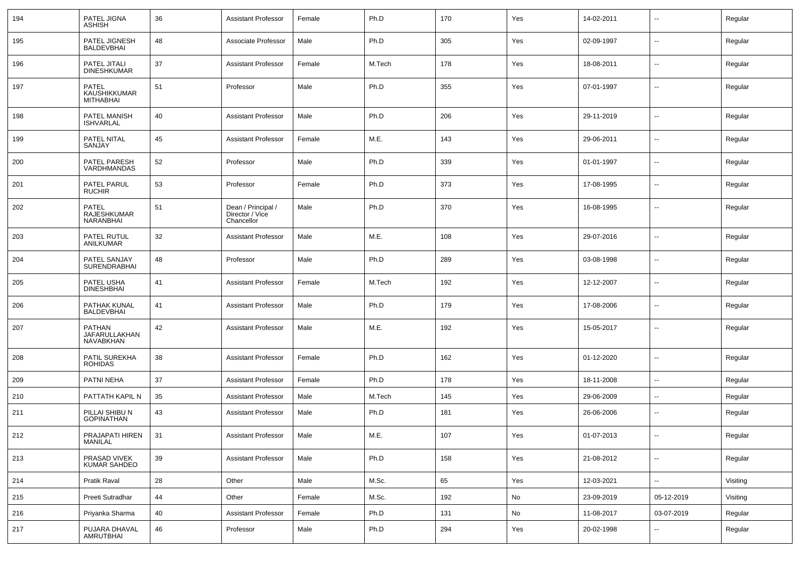| 194 | PATEL JIGNA<br><b>ASHISH</b>                     | 36 | <b>Assistant Professor</b>                          | Female | Ph.D   | 170 | Yes | 14-02-2011 | $\overline{\phantom{a}}$ | Regular  |
|-----|--------------------------------------------------|----|-----------------------------------------------------|--------|--------|-----|-----|------------|--------------------------|----------|
| 195 | PATEL JIGNESH<br>BALDEVBHAI                      | 48 | Associate Professor                                 | Male   | Ph.D   | 305 | Yes | 02-09-1997 | $\sim$                   | Regular  |
| 196 | PATEL JITALI<br><b>DINESHKUMAR</b>               | 37 | <b>Assistant Professor</b>                          | Female | M.Tech | 178 | Yes | 18-08-2011 | $\overline{\phantom{a}}$ | Regular  |
| 197 | PATEL<br><b>KAUSHIKKUMAR</b><br><b>MITHABHAI</b> | 51 | Professor                                           | Male   | Ph.D   | 355 | Yes | 07-01-1997 | $\sim$                   | Regular  |
| 198 | PATEL MANISH<br><b>ISHVARLAL</b>                 | 40 | <b>Assistant Professor</b>                          | Male   | Ph.D   | 206 | Yes | 29-11-2019 | $\overline{\phantom{a}}$ | Regular  |
| 199 | PATEL NITAL<br>SANJAY                            | 45 | <b>Assistant Professor</b>                          | Female | M.E.   | 143 | Yes | 29-06-2011 | $\overline{\phantom{a}}$ | Regular  |
| 200 | PATEL PARESH<br>VARDHMANDAS                      | 52 | Professor                                           | Male   | Ph.D   | 339 | Yes | 01-01-1997 | $\overline{\phantom{a}}$ | Regular  |
| 201 | PATEL PARUL<br><b>RUCHIR</b>                     | 53 | Professor                                           | Female | Ph.D   | 373 | Yes | 17-08-1995 | $\overline{\phantom{a}}$ | Regular  |
| 202 | PATEL<br>RAJESHKUMAR<br>NARANBHAI                | 51 | Dean / Principal /<br>Director / Vice<br>Chancellor | Male   | Ph.D   | 370 | Yes | 16-08-1995 | $\overline{\phantom{a}}$ | Regular  |
| 203 | PATEL RUTUL<br>ANILKUMAR                         | 32 | <b>Assistant Professor</b>                          | Male   | M.E.   | 108 | Yes | 29-07-2016 | $\mathbf{u}$             | Regular  |
| 204 | PATEL SANJAY<br>SURENDRABHAI                     | 48 | Professor                                           | Male   | Ph.D   | 289 | Yes | 03-08-1998 | $\overline{\phantom{a}}$ | Regular  |
| 205 | PATEL USHA<br><b>DINESHBHAI</b>                  | 41 | <b>Assistant Professor</b>                          | Female | M.Tech | 192 | Yes | 12-12-2007 | $\mathbf{u}$             | Regular  |
| 206 | PATHAK KUNAL<br><b>BALDEVBHAI</b>                | 41 | <b>Assistant Professor</b>                          | Male   | Ph.D   | 179 | Yes | 17-08-2006 | $\overline{\phantom{a}}$ | Regular  |
| 207 | <b>PATHAN</b><br>JAFARULLAKHAN<br>NAVABKHAN      | 42 | <b>Assistant Professor</b>                          | Male   | M.E.   | 192 | Yes | 15-05-2017 | $\mathbf{u}$             | Regular  |
| 208 | PATIL SUREKHA<br><b>ROHIDAS</b>                  | 38 | <b>Assistant Professor</b>                          | Female | Ph.D   | 162 | Yes | 01-12-2020 | $\overline{\phantom{a}}$ | Regular  |
| 209 | PATNI NEHA                                       | 37 | <b>Assistant Professor</b>                          | Female | Ph.D   | 178 | Yes | 18-11-2008 | $\overline{\phantom{a}}$ | Regular  |
| 210 | PATTATH KAPIL N                                  | 35 | <b>Assistant Professor</b>                          | Male   | M.Tech | 145 | Yes | 29-06-2009 | $\mathbf{u}$             | Regular  |
| 211 | PILLAI SHIBU N<br><b>GOPINATHAN</b>              | 43 | <b>Assistant Professor</b>                          | Male   | Ph.D   | 181 | Yes | 26-06-2006 | $\overline{\phantom{a}}$ | Regular  |
| 212 | PRAJAPATI HIREN<br>MANILAL                       | 31 | Assistant Professor                                 | Male   | M.E.   | 107 | Yes | 01-07-2013 |                          | Regular  |
| 213 | PRASAD VIVEK<br>KUMAR SAHDEO                     | 39 | Assistant Professor                                 | Male   | Ph.D   | 158 | Yes | 21-08-2012 | Ξ.                       | Regular  |
| 214 | Pratik Raval                                     | 28 | Other                                               | Male   | M.Sc.  | 65  | Yes | 12-03-2021 | Ξ.                       | Visiting |
| 215 | Preeti Sutradhar                                 | 44 | Other                                               | Female | M.Sc.  | 192 | No  | 23-09-2019 | 05-12-2019               | Visiting |
| 216 | Priyanka Sharma                                  | 40 | <b>Assistant Professor</b>                          | Female | Ph.D   | 131 | No  | 11-08-2017 | 03-07-2019               | Regular  |
| 217 | PUJARA DHAVAL<br>AMRUTBHAI                       | 46 | Professor                                           | Male   | Ph.D   | 294 | Yes | 20-02-1998 | $\overline{\phantom{a}}$ | Regular  |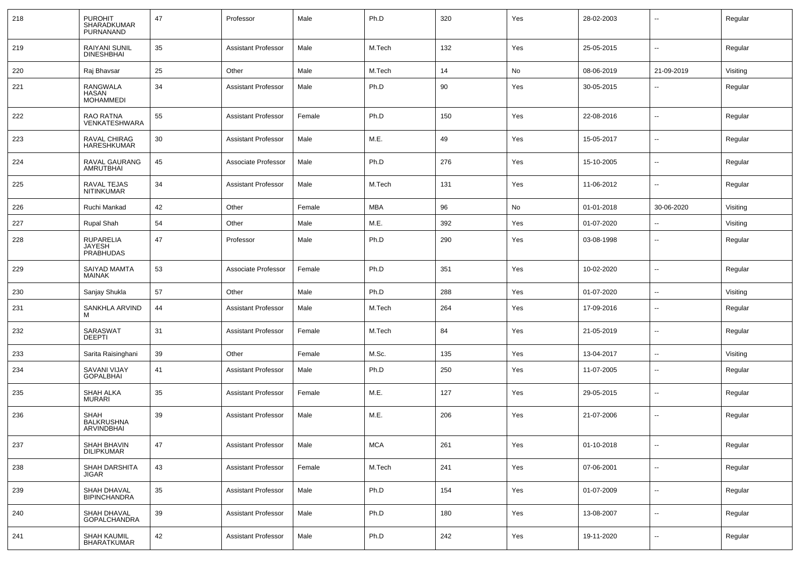| 218 | <b>PUROHIT</b><br>SHARADKUMAR<br>PURNANAND            | 47 | Professor                  | Male   | Ph.D       | 320 | Yes | 28-02-2003 | $\overline{a}$           | Regular  |
|-----|-------------------------------------------------------|----|----------------------------|--------|------------|-----|-----|------------|--------------------------|----------|
| 219 | <b>RAIYANI SUNIL</b><br><b>DINESHBHAI</b>             | 35 | <b>Assistant Professor</b> | Male   | M.Tech     | 132 | Yes | 25-05-2015 | $\overline{\phantom{a}}$ | Regular  |
| 220 | Raj Bhavsar                                           | 25 | Other                      | Male   | M.Tech     | 14  | No  | 08-06-2019 | 21-09-2019               | Visiting |
| 221 | RANGWALA<br><b>HASAN</b><br><b>MOHAMMEDI</b>          | 34 | Assistant Professor        | Male   | Ph.D       | 90  | Yes | 30-05-2015 | $\sim$                   | Regular  |
| 222 | RAO RATNA<br>VENKATESHWARA                            | 55 | <b>Assistant Professor</b> | Female | Ph.D       | 150 | Yes | 22-08-2016 | $\sim$                   | Regular  |
| 223 | RAVAL CHIRAG<br><b>HARESHKUMAR</b>                    | 30 | <b>Assistant Professor</b> | Male   | M.E.       | 49  | Yes | 15-05-2017 | $\sim$                   | Regular  |
| 224 | RAVAL GAURANG<br><b>AMRUTBHAI</b>                     | 45 | Associate Professor        | Male   | Ph.D       | 276 | Yes | 15-10-2005 | $\overline{\phantom{a}}$ | Regular  |
| 225 | RAVAL TEJAS<br><b>NITINKUMAR</b>                      | 34 | <b>Assistant Professor</b> | Male   | M.Tech     | 131 | Yes | 11-06-2012 | $\sim$                   | Regular  |
| 226 | Ruchi Mankad                                          | 42 | Other                      | Female | <b>MBA</b> | 96  | No  | 01-01-2018 | 30-06-2020               | Visiting |
| 227 | Rupal Shah                                            | 54 | Other                      | Male   | M.E.       | 392 | Yes | 01-07-2020 | $\overline{\phantom{a}}$ | Visiting |
| 228 | <b>RUPARELIA</b><br><b>JAYESH</b><br><b>PRABHUDAS</b> | 47 | Professor                  | Male   | Ph.D       | 290 | Yes | 03-08-1998 | $\overline{\phantom{a}}$ | Regular  |
| 229 | SAIYAD MAMTA<br><b>MAINAK</b>                         | 53 | Associate Professor        | Female | Ph.D       | 351 | Yes | 10-02-2020 | $\overline{\phantom{a}}$ | Regular  |
| 230 | Sanjay Shukla                                         | 57 | Other                      | Male   | Ph.D       | 288 | Yes | 01-07-2020 | $\overline{\phantom{a}}$ | Visiting |
| 231 | SANKHLA ARVIND<br>м                                   | 44 | <b>Assistant Professor</b> | Male   | M.Tech     | 264 | Yes | 17-09-2016 | $\overline{\phantom{a}}$ | Regular  |
| 232 | SARASWAT<br><b>DEEPTI</b>                             | 31 | Assistant Professor        | Female | M.Tech     | 84  | Yes | 21-05-2019 | $\sim$                   | Regular  |
| 233 | Sarita Raisinghani                                    | 39 | Other                      | Female | M.Sc.      | 135 | Yes | 13-04-2017 | $\overline{\phantom{a}}$ | Visiting |
| 234 | SAVANI VIJAY<br><b>GOPALBHAI</b>                      | 41 | <b>Assistant Professor</b> | Male   | Ph.D       | 250 | Yes | 11-07-2005 | $\sim$                   | Regular  |
| 235 | SHAH ALKA<br><b>MURARI</b>                            | 35 | <b>Assistant Professor</b> | Female | M.E.       | 127 | Yes | 29-05-2015 | $\overline{\phantom{a}}$ | Regular  |
| 236 | <b>SHAH</b><br><b>BALKRUSHNA</b><br>ARVINDBHAI        | 39 | <b>Assistant Professor</b> | Male   | M.E.       | 206 | Yes | 21-07-2006 | $\overline{\phantom{a}}$ | Regular  |
| 237 | SHAH BHAVIN<br>DILIPKUMAR                             | 47 | <b>Assistant Professor</b> | Male   | <b>MCA</b> | 261 | Yes | 01-10-2018 | $\overline{\phantom{a}}$ | Regular  |
| 238 | SHAH DARSHITA<br>JIGAR                                | 43 | <b>Assistant Professor</b> | Female | M.Tech     | 241 | Yes | 07-06-2001 | $\overline{\phantom{a}}$ | Regular  |
| 239 | SHAH DHAVAL<br>BIPINCHANDRA                           | 35 | <b>Assistant Professor</b> | Male   | Ph.D       | 154 | Yes | 01-07-2009 | $\overline{\phantom{a}}$ | Regular  |
| 240 | SHAH DHAVAL<br><b>GOPALCHANDRA</b>                    | 39 | <b>Assistant Professor</b> | Male   | Ph.D       | 180 | Yes | 13-08-2007 | $\overline{\phantom{a}}$ | Regular  |
| 241 | <b>SHAH KAUMIL</b><br><b>BHARATKUMAR</b>              | 42 | <b>Assistant Professor</b> | Male   | Ph.D       | 242 | Yes | 19-11-2020 | $\overline{\phantom{a}}$ | Regular  |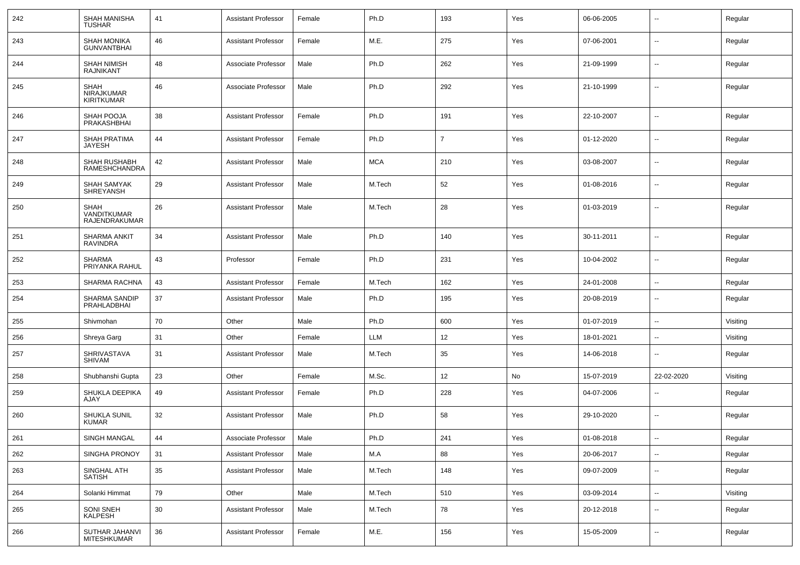| 242 | <b>SHAH MANISHA</b><br><b>TUSHAR</b>           | 41     | <b>Assistant Professor</b> | Female | Ph.D       | 193 | Yes | 06-06-2005 |                          | Regular  |
|-----|------------------------------------------------|--------|----------------------------|--------|------------|-----|-----|------------|--------------------------|----------|
| 243 | SHAH MONIKA<br>GUNVANTBHAI                     | 46     | Assistant Professor        | Female | M.E.       | 275 | Yes | 07-06-2001 | $\sim$                   | Regular  |
| 244 | SHAH NIMISH<br><b>RAJNIKANT</b>                | 48     | Associate Professor        | Male   | Ph.D       | 262 | Yes | 21-09-1999 | $\mathbf{u}$             | Regular  |
| 245 | <b>SHAH</b><br>NIRAJKUMAR<br><b>KIRITKUMAR</b> | 46     | Associate Professor        | Male   | Ph.D       | 292 | Yes | 21-10-1999 | $\mathbf{u}$             | Regular  |
| 246 | SHAH POOJA<br>PRAKASHBHAI                      | 38     | Assistant Professor        | Female | Ph.D       | 191 | Yes | 22-10-2007 | $\mathbf{u}$             | Regular  |
| 247 | <b>SHAH PRATIMA</b><br>JAYESH                  | 44     | Assistant Professor        | Female | Ph.D       | 7   | Yes | 01-12-2020 | $\overline{\phantom{a}}$ | Regular  |
| 248 | SHAH RUSHABH<br>RAMESHCHANDRA                  | 42     | Assistant Professor        | Male   | <b>MCA</b> | 210 | Yes | 03-08-2007 | $\mathbf{u}$             | Regular  |
| 249 | <b>SHAH SAMYAK</b><br>SHREYANSH                | 29     | Assistant Professor        | Male   | M.Tech     | 52  | Yes | 01-08-2016 | $\mathbf{u}$             | Regular  |
| 250 | <b>SHAH</b><br>VANDITKUMAR<br>RAJENDRAKUMAR    | 26     | Assistant Professor        | Male   | M.Tech     | 28  | Yes | 01-03-2019 | $\mathbf{u}$             | Regular  |
| 251 | <b>SHARMA ANKIT</b><br><b>RAVINDRA</b>         | 34     | <b>Assistant Professor</b> | Male   | Ph.D       | 140 | Yes | 30-11-2011 | $\overline{a}$           | Regular  |
| 252 | <b>SHARMA</b><br>PRIYANKA RAHUL                | 43     | Professor                  | Female | Ph.D       | 231 | Yes | 10-04-2002 | $\mathbf{u}$             | Regular  |
| 253 | SHARMA RACHNA                                  | 43     | <b>Assistant Professor</b> | Female | M.Tech     | 162 | Yes | 24-01-2008 |                          | Regular  |
| 254 | SHARMA SANDIP<br>PRAHLADBHAI                   | 37     | <b>Assistant Professor</b> | Male   | Ph.D       | 195 | Yes | 20-08-2019 | $\sim$                   | Regular  |
| 255 | Shivmohan                                      | 70     | Other                      | Male   | Ph.D       | 600 | Yes | 01-07-2019 | $\sim$                   | Visiting |
| 256 | Shreya Garg                                    | 31     | Other                      | Female | <b>LLM</b> | 12  | Yes | 18-01-2021 | $\overline{\phantom{a}}$ | Visiting |
| 257 | SHRIVASTAVA<br>SHIVAM                          | 31     | <b>Assistant Professor</b> | Male   | M.Tech     | 35  | Yes | 14-06-2018 | $\overline{a}$           | Regular  |
| 258 | Shubhanshi Gupta                               | 23     | Other                      | Female | M.Sc.      | 12  | No  | 15-07-2019 | 22-02-2020               | Visiting |
| 259 | SHUKLA DEEPIKA<br>AJAY                         | 49     | <b>Assistant Professor</b> | Female | Ph.D       | 228 | Yes | 04-07-2006 | $\overline{\phantom{a}}$ | Regular  |
| 260 | SHUKLA SUNIL<br><b>KUMAR</b>                   | 32     | <b>Assistant Professor</b> | Male   | Ph.D       | 58  | Yes | 29-10-2020 | $\overline{\phantom{a}}$ | Regular  |
| 261 | SINGH MANGAL                                   | 44     | Associate Professor        | Male   | Ph.D       | 241 | Yes | 01-08-2018 | --                       | Regular  |
| 262 | SINGHA PRONOY                                  | 31     | <b>Assistant Professor</b> | Male   | M.A        | 88  | Yes | 20-06-2017 | $\sim$                   | Regular  |
| 263 | SINGHAL ATH<br><b>SATISH</b>                   | $35\,$ | <b>Assistant Professor</b> | Male   | M.Tech     | 148 | Yes | 09-07-2009 | $\sim$                   | Regular  |
| 264 | Solanki Himmat                                 | 79     | Other                      | Male   | M.Tech     | 510 | Yes | 03-09-2014 | $\sim$                   | Visiting |
| 265 | SONI SNEH<br>KALPESH                           | $30\,$ | <b>Assistant Professor</b> | Male   | M.Tech     | 78  | Yes | 20-12-2018 | $\sim$                   | Regular  |
| 266 | SUTHAR JAHANVI<br>MITESHKUMAR                  | 36     | <b>Assistant Professor</b> | Female | M.E.       | 156 | Yes | 15-05-2009 | $\sim$                   | Regular  |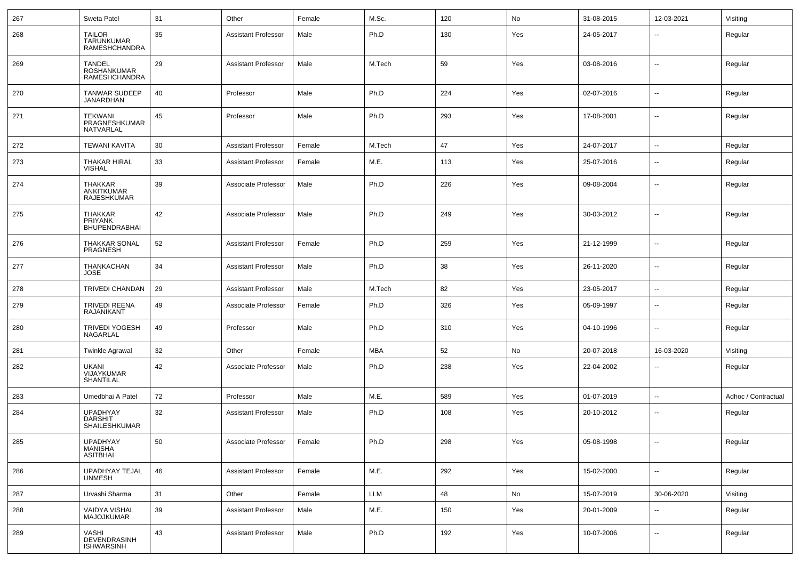| 267 | Sweta Patel                                                 | 31 | Other                      | Female | M.Sc.      | 120 | No  | 31-08-2015 | 12-03-2021               | Visiting            |
|-----|-------------------------------------------------------------|----|----------------------------|--------|------------|-----|-----|------------|--------------------------|---------------------|
| 268 | <b>TAILOR</b><br><b>TARUNKUMAR</b><br><b>RAMESHCHANDRA</b>  | 35 | <b>Assistant Professor</b> | Male   | Ph.D       | 130 | Yes | 24-05-2017 | $\overline{\phantom{a}}$ | Regular             |
| 269 | <b>TANDEL</b><br><b>ROSHANKUMAR</b><br><b>RAMESHCHANDRA</b> | 29 | <b>Assistant Professor</b> | Male   | M.Tech     | 59  | Yes | 03-08-2016 | $\overline{\phantom{a}}$ | Regular             |
| 270 | TANWAR SUDEEP<br><b>JANARDHAN</b>                           | 40 | Professor                  | Male   | Ph.D       | 224 | Yes | 02-07-2016 | $\overline{\phantom{a}}$ | Regular             |
| 271 | <b>TEKWANI</b><br>PRAGNESHKUMAR<br>NATVARLAL                | 45 | Professor                  | Male   | Ph.D       | 293 | Yes | 17-08-2001 | $\overline{\phantom{a}}$ | Regular             |
| 272 | <b>TEWANI KAVITA</b>                                        | 30 | <b>Assistant Professor</b> | Female | M.Tech     | 47  | Yes | 24-07-2017 | $\mathbf{u}$             | Regular             |
| 273 | <b>THAKAR HIRAL</b><br><b>VISHAL</b>                        | 33 | <b>Assistant Professor</b> | Female | M.E.       | 113 | Yes | 25-07-2016 | $\overline{\phantom{a}}$ | Regular             |
| 274 | <b>THAKKAR</b><br>ANKITKUMAR<br><b>RAJESHKUMAR</b>          | 39 | Associate Professor        | Male   | Ph.D       | 226 | Yes | 09-08-2004 | $\overline{\phantom{a}}$ | Regular             |
| 275 | <b>THAKKAR</b><br><b>PRIYANK</b><br><b>BHUPENDRABHAI</b>    | 42 | Associate Professor        | Male   | Ph.D       | 249 | Yes | 30-03-2012 | $\overline{\phantom{a}}$ | Regular             |
| 276 | THAKKAR SONAL<br>PRAGNESH                                   | 52 | <b>Assistant Professor</b> | Female | Ph.D       | 259 | Yes | 21-12-1999 | $\overline{\phantom{a}}$ | Regular             |
| 277 | THANKACHAN<br><b>JOSE</b>                                   | 34 | <b>Assistant Professor</b> | Male   | Ph.D       | 38  | Yes | 26-11-2020 | $\overline{\phantom{a}}$ | Regular             |
| 278 | <b>TRIVEDI CHANDAN</b>                                      | 29 | <b>Assistant Professor</b> | Male   | M.Tech     | 82  | Yes | 23-05-2017 | $\overline{\phantom{a}}$ | Regular             |
| 279 | <b>TRIVEDI REENA</b><br><b>RAJANIKANT</b>                   | 49 | Associate Professor        | Female | Ph.D       | 326 | Yes | 05-09-1997 | $\overline{\phantom{a}}$ | Regular             |
| 280 | <b>TRIVEDI YOGESH</b><br>NAGARLAL                           | 49 | Professor                  | Male   | Ph.D       | 310 | Yes | 04-10-1996 | $\overline{\phantom{a}}$ | Regular             |
| 281 | <b>Twinkle Agrawal</b>                                      | 32 | Other                      | Female | <b>MBA</b> | 52  | No  | 20-07-2018 | 16-03-2020               | Visiting            |
| 282 | UKANI<br>VIJAYKUMAR<br><b>SHANTILAL</b>                     | 42 | Associate Professor        | Male   | Ph.D       | 238 | Yes | 22-04-2002 | $\overline{\phantom{a}}$ | Regular             |
| 283 | Umedbhai A Patel                                            | 72 | Professor                  | Male   | M.E.       | 589 | Yes | 01-07-2019 | $\mathbf{u}$             | Adhoc / Contractual |
| 284 | <b>UPADHYAY</b><br><b>DARSHIT</b><br><b>SHAILESHKUMAR</b>   | 32 | Assistant Professor        | Male   | Ph.D       | 108 | Yes | 20-10-2012 | $\mathbf{u}$             | Regular             |
| 285 | UPADHYAY<br><b>MANISHA</b><br><b>ASITBHAI</b>               | 50 | Associate Professor        | Female | Ph.D       | 298 | Yes | 05-08-1998 | $\overline{\phantom{a}}$ | Regular             |
| 286 | UPADHYAY TEJAL<br><b>UNMESH</b>                             | 46 | Assistant Professor        | Female | M.E.       | 292 | Yes | 15-02-2000 | $\overline{\phantom{a}}$ | Regular             |
| 287 | Urvashi Sharma                                              | 31 | Other                      | Female | LLM        | 48  | No  | 15-07-2019 | 30-06-2020               | Visiting            |
| 288 | VAIDYA VISHAL<br>MAJOJKUMAR                                 | 39 | <b>Assistant Professor</b> | Male   | M.E.       | 150 | Yes | 20-01-2009 | $\overline{\phantom{a}}$ | Regular             |
| 289 | VASHI<br>DEVENDRASINH<br><b>ISHWARSINH</b>                  | 43 | <b>Assistant Professor</b> | Male   | Ph.D       | 192 | Yes | 10-07-2006 | $\overline{\phantom{a}}$ | Regular             |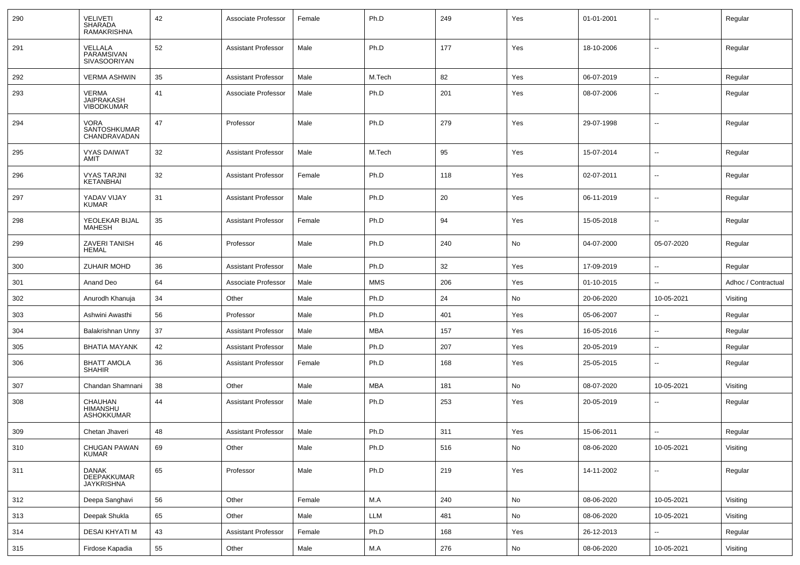| 290 | <b>VELIVETI</b><br><b>SHARADA</b><br>RAMAKRISHNA | 42 | Associate Professor        | Female | Ph.D       | 249 | Yes | 01-01-2001 |                          | Regular             |
|-----|--------------------------------------------------|----|----------------------------|--------|------------|-----|-----|------------|--------------------------|---------------------|
| 291 | VELLALA<br>PARAMSIVAN<br>SIVASOORIYAN            | 52 | <b>Assistant Professor</b> | Male   | Ph.D       | 177 | Yes | 18-10-2006 | $\overline{\phantom{a}}$ | Regular             |
| 292 | <b>VERMA ASHWIN</b>                              | 35 | <b>Assistant Professor</b> | Male   | M.Tech     | 82  | Yes | 06-07-2019 | $\overline{\phantom{a}}$ | Regular             |
| 293 | VERMA<br><b>JAIPRAKASH</b><br><b>VIBODKUMAR</b>  | 41 | Associate Professor        | Male   | Ph.D       | 201 | Yes | 08-07-2006 | $\overline{\phantom{a}}$ | Regular             |
| 294 | <b>VORA</b><br>SANTOSHKUMAR<br>CHANDRAVADAN      | 47 | Professor                  | Male   | Ph.D       | 279 | Yes | 29-07-1998 | $\overline{\phantom{a}}$ | Regular             |
| 295 | <b>VYAS DAIWAT</b><br>AMIT                       | 32 | <b>Assistant Professor</b> | Male   | M.Tech     | 95  | Yes | 15-07-2014 | --                       | Regular             |
| 296 | <b>VYAS TARJNI</b><br>KETANBHAI                  | 32 | <b>Assistant Professor</b> | Female | Ph.D       | 118 | Yes | 02-07-2011 | --                       | Regular             |
| 297 | YADAV VIJAY<br><b>KUMAR</b>                      | 31 | <b>Assistant Professor</b> | Male   | Ph.D       | 20  | Yes | 06-11-2019 | --                       | Regular             |
| 298 | YEOLEKAR BIJAL<br><b>MAHESH</b>                  | 35 | <b>Assistant Professor</b> | Female | Ph.D       | 94  | Yes | 15-05-2018 | --                       | Regular             |
| 299 | <b>ZAVERI TANISH</b><br>HEMAL                    | 46 | Professor                  | Male   | Ph.D       | 240 | No  | 04-07-2000 | 05-07-2020               | Regular             |
| 300 | <b>ZUHAIR MOHD</b>                               | 36 | <b>Assistant Professor</b> | Male   | Ph.D       | 32  | Yes | 17-09-2019 | --                       | Regular             |
| 301 | Anand Deo                                        | 64 | Associate Professor        | Male   | <b>MMS</b> | 206 | Yes | 01-10-2015 | $\overline{\phantom{a}}$ | Adhoc / Contractual |
| 302 | Anurodh Khanuja                                  | 34 | Other                      | Male   | Ph.D       | 24  | No  | 20-06-2020 | 10-05-2021               | Visiting            |
| 303 | Ashwini Awasthi                                  | 56 | Professor                  | Male   | Ph.D       | 401 | Yes | 05-06-2007 | --                       | Regular             |
| 304 | Balakrishnan Unny                                | 37 | <b>Assistant Professor</b> | Male   | <b>MBA</b> | 157 | Yes | 16-05-2016 | $\overline{\phantom{a}}$ | Regular             |
| 305 | <b>BHATIA MAYANK</b>                             | 42 | <b>Assistant Professor</b> | Male   | Ph.D       | 207 | Yes | 20-05-2019 | $\overline{\phantom{a}}$ | Regular             |
| 306 | <b>BHATT AMOLA</b><br><b>SHAHIR</b>              | 36 | <b>Assistant Professor</b> | Female | Ph.D       | 168 | Yes | 25-05-2015 | --                       | Regular             |
| 307 | Chandan Shamnani                                 | 38 | Other                      | Male   | <b>MBA</b> | 181 | No  | 08-07-2020 | 10-05-2021               | Visiting            |
| 308 | CHAUHAN<br><b>HIMANSHU</b><br><b>ASHOKKUMAR</b>  | 44 | <b>Assistant Professor</b> | Male   | Ph.D       | 253 | Yes | 20-05-2019 | $\overline{\phantom{a}}$ | Regular             |
| 309 | Chetan Jhaveri                                   | 48 | <b>Assistant Professor</b> | Male   | Ph.D       | 311 | Yes | 15-06-2011 | --                       | Regular             |
| 310 | CHUGAN PAWAN<br><b>KUMAR</b>                     | 69 | Other                      | Male   | Ph.D       | 516 | No  | 08-06-2020 | 10-05-2021               | Visiting            |
| 311 | <b>DANAK</b><br>DEEPAKKUMAR<br><b>JAYKRISHNA</b> | 65 | Professor                  | Male   | Ph.D       | 219 | Yes | 14-11-2002 | $\sim$                   | Regular             |
| 312 | Deepa Sanghavi                                   | 56 | Other                      | Female | M.A        | 240 | No  | 08-06-2020 | 10-05-2021               | Visiting            |
| 313 | Deepak Shukla                                    | 65 | Other                      | Male   | LLM        | 481 | No  | 08-06-2020 | 10-05-2021               | Visiting            |
| 314 | DESAI KHYATI M                                   | 43 | <b>Assistant Professor</b> | Female | Ph.D       | 168 | Yes | 26-12-2013 | Щ,                       | Regular             |
| 315 | Firdose Kapadia                                  | 55 | Other                      | Male   | M.A        | 276 | No  | 08-06-2020 | 10-05-2021               | Visiting            |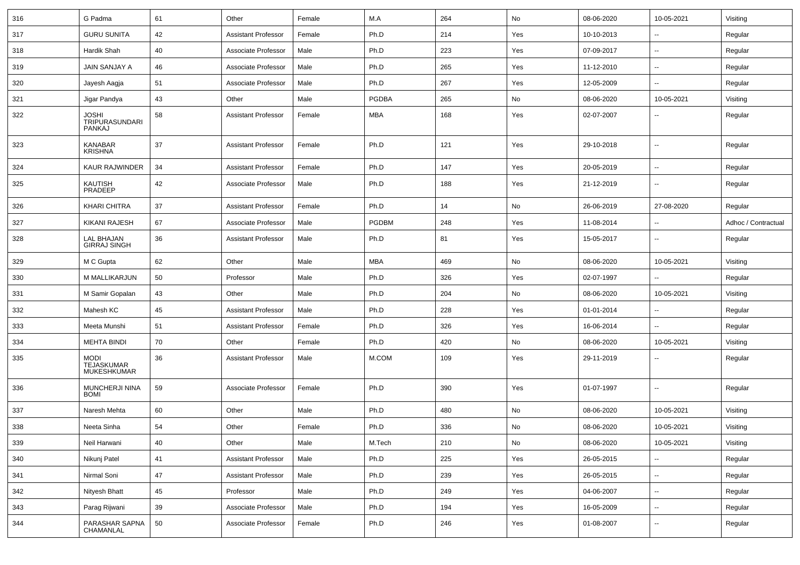| 316 | G Padma                                         | 61       | Other                      | Female | M.A          | 264 | No  | 08-06-2020 | 10-05-2021               | Visiting            |
|-----|-------------------------------------------------|----------|----------------------------|--------|--------------|-----|-----|------------|--------------------------|---------------------|
| 317 | <b>GURU SUNITA</b>                              | 42       | <b>Assistant Professor</b> | Female | Ph.D         | 214 | Yes | 10-10-2013 | --                       | Regular             |
| 318 | Hardik Shah                                     | 40       | Associate Professor        | Male   | Ph.D         | 223 | Yes | 07-09-2017 | --                       | Regular             |
| 319 | <b>JAIN SANJAY A</b>                            | 46       | Associate Professor        | Male   | Ph.D         | 265 | Yes | 11-12-2010 | ۰.                       | Regular             |
| 320 | Jayesh Aagja                                    | 51       | Associate Professor        | Male   | Ph.D         | 267 | Yes | 12-05-2009 | --                       | Regular             |
| 321 | Jigar Pandya                                    | 43       | Other                      | Male   | <b>PGDBA</b> | 265 | No  | 08-06-2020 | 10-05-2021               | Visiting            |
| 322 | JOSHI<br><b>TRIPURASUNDARI</b><br><b>PANKAJ</b> | 58       | Assistant Professor        | Female | MBA          | 168 | Yes | 02-07-2007 | --                       | Regular             |
| 323 | <b>KANABAR</b><br><b>KRISHNA</b>                | 37       | <b>Assistant Professor</b> | Female | Ph.D         | 121 | Yes | 29-10-2018 | $\overline{\phantom{a}}$ | Regular             |
| 324 | KAUR RAJWINDER                                  | 34       | <b>Assistant Professor</b> | Female | Ph.D         | 147 | Yes | 20-05-2019 | $\sim$                   | Regular             |
| 325 | KAUTISH<br><b>PRADEEP</b>                       | 42       | Associate Professor        | Male   | Ph.D         | 188 | Yes | 21-12-2019 | $-$                      | Regular             |
| 326 | KHARI CHITRA                                    | 37       | <b>Assistant Professor</b> | Female | Ph.D         | 14  | No  | 26-06-2019 | 27-08-2020               | Regular             |
| 327 | KIKANI RAJESH                                   | 67       | Associate Professor        | Male   | <b>PGDBM</b> | 248 | Yes | 11-08-2014 |                          | Adhoc / Contractual |
| 328 | LAL BHAJAN<br><b>GIRRAJ SINGH</b>               | 36       | <b>Assistant Professor</b> | Male   | Ph.D         | 81  | Yes | 15-05-2017 | --                       | Regular             |
| 329 | M C Gupta                                       | 62       | Other                      | Male   | <b>MBA</b>   | 469 | No  | 08-06-2020 | 10-05-2021               | Visiting            |
| 330 | M MALLIKARJUN                                   | 50       | Professor                  | Male   | Ph.D         | 326 | Yes | 02-07-1997 |                          | Regular             |
| 331 | M Samir Gopalan                                 | 43       | Other                      | Male   | Ph.D         | 204 | No  | 08-06-2020 | 10-05-2021               | Visiting            |
| 332 | Mahesh KC                                       | 45       | <b>Assistant Professor</b> | Male   | Ph.D         | 228 | Yes | 01-01-2014 | $\overline{\phantom{a}}$ | Regular             |
| 333 | Meeta Munshi                                    | 51       | Assistant Professor        | Female | Ph.D         | 326 | Yes | 16-06-2014 | $\overline{\phantom{a}}$ | Regular             |
| 334 | <b>MEHTA BINDI</b>                              | 70       | Other                      | Female | Ph.D         | 420 | No  | 08-06-2020 | 10-05-2021               | Visiting            |
| 335 | MODI<br>TEJASKUMAR<br><b>MUKESHKUMAR</b>        | 36       | Assistant Professor        | Male   | M.COM        | 109 | Yes | 29-11-2019 | ۰.                       | Regular             |
| 336 | MUNCHERJI NINA<br><b>BOMI</b>                   | 59       | Associate Professor        | Female | Ph.D         | 390 | Yes | 01-07-1997 | --                       | Regular             |
| 337 | Naresh Mehta                                    | 60       | Other                      | Male   | Ph.D         | 480 | No  | 08-06-2020 | 10-05-2021               | Visiting            |
| 338 | Neeta Sinha                                     | 54       | Other                      | Female | Ph.D         | 336 | No  | 08-06-2020 | 10-05-2021               | Visiting            |
| 339 | Neil Harwani                                    | 40       | Other                      | Male   | M.Tech       | 210 | No  | 08-06-2020 | 10-05-2021               | Visiting            |
| 340 | Nikunj Patel                                    | 41       | <b>Assistant Professor</b> | Male   | Ph.D         | 225 | Yes | 26-05-2015 |                          | Regular             |
| 341 | Nirmal Soni                                     | 47       | Assistant Professor        | Male   | Ph.D         | 239 | Yes | 26-05-2015 | $\sim$                   | Regular             |
| 342 | Nityesh Bhatt                                   | $\bf 45$ | Professor                  | Male   | Ph.D         | 249 | Yes | 04-06-2007 | $\sim$                   | Regular             |
| 343 | Parag Rijwani                                   | 39       | Associate Professor        | Male   | Ph.D         | 194 | Yes | 16-05-2009 | $\sim$                   | Regular             |
| 344 | PARASHAR SAPNA<br>CHAMANLAL                     | 50       | Associate Professor        | Female | Ph.D         | 246 | Yes | 01-08-2007 | ₩.                       | Regular             |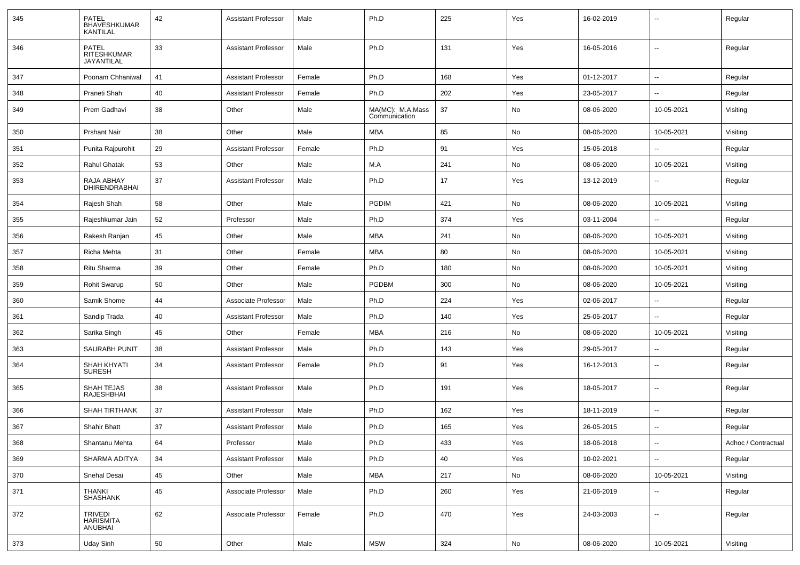| 345 | PATEL<br><b>BHAVESHKUMAR</b><br>KANTILAL  | 42 | <b>Assistant Professor</b> | Male   | Ph.D                              | 225 | Yes | 16-02-2019 | --                       | Regular             |
|-----|-------------------------------------------|----|----------------------------|--------|-----------------------------------|-----|-----|------------|--------------------------|---------------------|
| 346 | <b>PATEL</b><br>RITESHKUMAR<br>JAYANTILAL | 33 | <b>Assistant Professor</b> | Male   | Ph.D                              | 131 | Yes | 16-05-2016 | $\overline{\phantom{a}}$ | Regular             |
| 347 | Poonam Chhaniwal                          | 41 | <b>Assistant Professor</b> | Female | Ph.D                              | 168 | Yes | 01-12-2017 | $\overline{\phantom{a}}$ | Regular             |
| 348 | Praneti Shah                              | 40 | <b>Assistant Professor</b> | Female | Ph.D                              | 202 | Yes | 23-05-2017 | $\overline{\phantom{a}}$ | Regular             |
| 349 | Prem Gadhavi                              | 38 | Other                      | Male   | MA(MC): M.A.Mass<br>Communication | 37  | No  | 08-06-2020 | 10-05-2021               | Visiting            |
| 350 | <b>Prshant Nair</b>                       | 38 | Other                      | Male   | <b>MBA</b>                        | 85  | No  | 08-06-2020 | 10-05-2021               | Visiting            |
| 351 | Punita Rajpurohit                         | 29 | <b>Assistant Professor</b> | Female | Ph.D                              | 91  | Yes | 15-05-2018 | $\overline{a}$           | Regular             |
| 352 | <b>Rahul Ghatak</b>                       | 53 | Other                      | Male   | M.A                               | 241 | No  | 08-06-2020 | 10-05-2021               | Visiting            |
| 353 | RAJA ABHAY<br><b>DHIRENDRABHAI</b>        | 37 | <b>Assistant Professor</b> | Male   | Ph.D                              | 17  | Yes | 13-12-2019 | --                       | Regular             |
| 354 | Rajesh Shah                               | 58 | Other                      | Male   | <b>PGDIM</b>                      | 421 | No  | 08-06-2020 | 10-05-2021               | Visiting            |
| 355 | Rajeshkumar Jain                          | 52 | Professor                  | Male   | Ph.D                              | 374 | Yes | 03-11-2004 |                          | Regular             |
| 356 | Rakesh Ranjan                             | 45 | Other                      | Male   | <b>MBA</b>                        | 241 | No  | 08-06-2020 | 10-05-2021               | Visiting            |
| 357 | Richa Mehta                               | 31 | Other                      | Female | MBA                               | 80  | No  | 08-06-2020 | 10-05-2021               | Visiting            |
| 358 | Ritu Sharma                               | 39 | Other                      | Female | Ph.D                              | 180 | No  | 08-06-2020 | 10-05-2021               | Visiting            |
| 359 | <b>Rohit Swarup</b>                       | 50 | Other                      | Male   | <b>PGDBM</b>                      | 300 | No  | 08-06-2020 | 10-05-2021               | Visiting            |
| 360 | Samik Shome                               | 44 | Associate Professor        | Male   | Ph.D                              | 224 | Yes | 02-06-2017 |                          | Regular             |
| 361 | Sandip Trada                              | 40 | <b>Assistant Professor</b> | Male   | Ph.D                              | 140 | Yes | 25-05-2017 | $\overline{\phantom{a}}$ | Regular             |
| 362 | Sarika Singh                              | 45 | Other                      | Female | <b>MBA</b>                        | 216 | No  | 08-06-2020 | 10-05-2021               | Visiting            |
| 363 | <b>SAURABH PUNIT</b>                      | 38 | <b>Assistant Professor</b> | Male   | Ph.D                              | 143 | Yes | 29-05-2017 | $\overline{\phantom{a}}$ | Regular             |
| 364 | SHAH KHYATI<br><b>SURESH</b>              | 34 | <b>Assistant Professor</b> | Female | Ph.D                              | 91  | Yes | 16-12-2013 | $\overline{\phantom{a}}$ | Regular             |
| 365 | SHAH TEJAS<br><b>RAJESHBHAI</b>           | 38 | <b>Assistant Professor</b> | Male   | Ph.D                              | 191 | Yes | 18-05-2017 | $\overline{\phantom{a}}$ | Regular             |
| 366 | <b>SHAH TIRTHANK</b>                      | 37 | <b>Assistant Professor</b> | Male   | Ph.D                              | 162 | Yes | 18-11-2019 | $\overline{\phantom{a}}$ | Regular             |
| 367 | <b>Shahir Bhatt</b>                       | 37 | <b>Assistant Professor</b> | Male   | Ph.D                              | 165 | Yes | 26-05-2015 |                          | Regular             |
| 368 | Shantanu Mehta                            | 64 | Professor                  | Male   | Ph.D                              | 433 | Yes | 18-06-2018 | Щ,                       | Adhoc / Contractual |
| 369 | SHARMA ADITYA                             | 34 | <b>Assistant Professor</b> | Male   | Ph.D                              | 40  | Yes | 10-02-2021 | н.                       | Regular             |
| 370 | Snehal Desai                              | 45 | Other                      | Male   | <b>MBA</b>                        | 217 | No  | 08-06-2020 | 10-05-2021               | Visiting            |
| 371 | <b>THANKI</b><br>SHASHANK                 | 45 | Associate Professor        | Male   | Ph.D                              | 260 | Yes | 21-06-2019 | $\overline{\phantom{a}}$ | Regular             |
| 372 | TRIVEDI<br>HARISMITA<br>ANUBHAI           | 62 | Associate Professor        | Female | Ph.D                              | 470 | Yes | 24-03-2003 | н.                       | Regular             |
| 373 | <b>Uday Sinh</b>                          | 50 | Other                      | Male   | <b>MSW</b>                        | 324 | No  | 08-06-2020 | 10-05-2021               | Visiting            |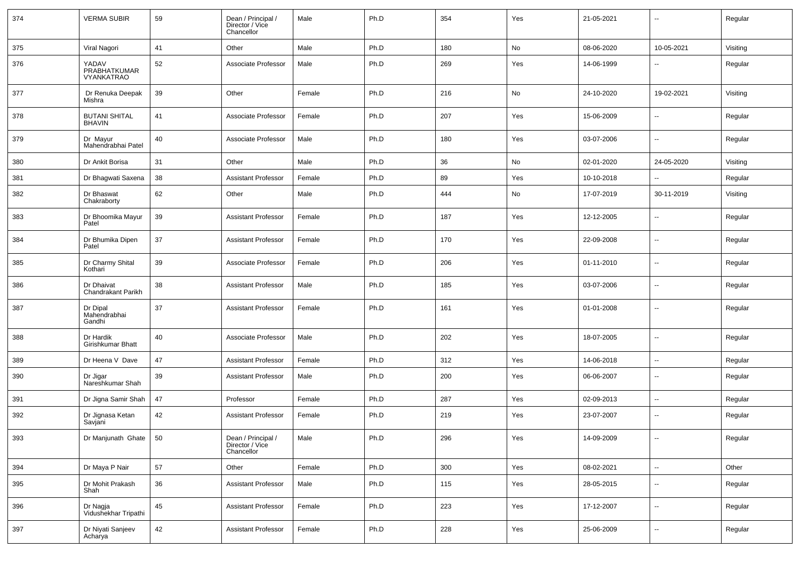| 374 | <b>VERMA SUBIR</b>                         | 59 | Dean / Principal /<br>Director / Vice<br>Chancellor | Male   | Ph.D | 354 | Yes | 21-05-2021 | $\overline{\phantom{a}}$ | Regular  |
|-----|--------------------------------------------|----|-----------------------------------------------------|--------|------|-----|-----|------------|--------------------------|----------|
| 375 | Viral Nagori                               | 41 | Other                                               | Male   | Ph.D | 180 | No  | 08-06-2020 | 10-05-2021               | Visiting |
| 376 | YADAV<br>PRABHATKUMAR<br><b>VYANKATRAO</b> | 52 | Associate Professor                                 | Male   | Ph.D | 269 | Yes | 14-06-1999 | $\overline{\phantom{a}}$ | Regular  |
| 377 | Dr Renuka Deepak<br>Mishra                 | 39 | Other                                               | Female | Ph.D | 216 | No  | 24-10-2020 | 19-02-2021               | Visiting |
| 378 | <b>BUTANI SHITAL</b><br><b>BHAVIN</b>      | 41 | Associate Professor                                 | Female | Ph.D | 207 | Yes | 15-06-2009 | $\overline{a}$           | Regular  |
| 379 | Dr Mayur<br>Mahendrabhai Patel             | 40 | Associate Professor                                 | Male   | Ph.D | 180 | Yes | 03-07-2006 | $\overline{\phantom{a}}$ | Regular  |
| 380 | Dr Ankit Borisa                            | 31 | Other                                               | Male   | Ph.D | 36  | No  | 02-01-2020 | 24-05-2020               | Visiting |
| 381 | Dr Bhagwati Saxena                         | 38 | Assistant Professor                                 | Female | Ph.D | 89  | Yes | 10-10-2018 | $\overline{\phantom{a}}$ | Regular  |
| 382 | Dr Bhaswat<br>Chakraborty                  | 62 | Other                                               | Male   | Ph.D | 444 | No  | 17-07-2019 | 30-11-2019               | Visiting |
| 383 | Dr Bhoomika Mayur<br>Patel                 | 39 | <b>Assistant Professor</b>                          | Female | Ph.D | 187 | Yes | 12-12-2005 | $\overline{\phantom{a}}$ | Regular  |
| 384 | Dr Bhumika Dipen<br>Patel                  | 37 | <b>Assistant Professor</b>                          | Female | Ph.D | 170 | Yes | 22-09-2008 | Ξ.                       | Regular  |
| 385 | Dr Charmy Shital<br>Kothari                | 39 | Associate Professor                                 | Female | Ph.D | 206 | Yes | 01-11-2010 | $\overline{\phantom{a}}$ | Regular  |
| 386 | Dr Dhaivat<br>Chandrakant Parikh           | 38 | <b>Assistant Professor</b>                          | Male   | Ph.D | 185 | Yes | 03-07-2006 | $\overline{a}$           | Regular  |
| 387 | Dr Dipal<br>Mahendrabhai<br>Gandhi         | 37 | <b>Assistant Professor</b>                          | Female | Ph.D | 161 | Yes | 01-01-2008 | $\overline{\phantom{a}}$ | Regular  |
| 388 | Dr Hardik<br>Girishkumar Bhatt             | 40 | Associate Professor                                 | Male   | Ph.D | 202 | Yes | 18-07-2005 | $\overline{\phantom{a}}$ | Regular  |
| 389 | Dr Heena V Dave                            | 47 | <b>Assistant Professor</b>                          | Female | Ph.D | 312 | Yes | 14-06-2018 | $\overline{\phantom{a}}$ | Regular  |
| 390 | Dr Jigar<br>Nareshkumar Shah               | 39 | <b>Assistant Professor</b>                          | Male   | Ph.D | 200 | Yes | 06-06-2007 | $\overline{\phantom{a}}$ | Regular  |
| 391 | Dr Jigna Samir Shah                        | 47 | Professor                                           | Female | Ph.D | 287 | Yes | 02-09-2013 | $\sim$                   | Regular  |
| 392 | Dr Jignasa Ketan<br>Savjani                | 42 | <b>Assistant Professor</b>                          | Female | Ph.D | 219 | Yes | 23-07-2007 | $\overline{\phantom{a}}$ | Regular  |
| 393 | Dr Manjunath Ghate   50                    |    | Dean / Principal /<br>Director / Vice<br>Chancellor | Male   | Ph.D | 296 | Yes | 14-09-2009 | $\overline{\phantom{a}}$ | Regular  |
| 394 | Dr Maya P Nair                             | 57 | Other                                               | Female | Ph.D | 300 | Yes | 08-02-2021 | $\mathbb{Z}^2$           | Other    |
| 395 | Dr Mohit Prakash<br>Shah                   | 36 | <b>Assistant Professor</b>                          | Male   | Ph.D | 115 | Yes | 28-05-2015 | Щ,                       | Regular  |
| 396 | Dr Nagja<br>Vidushekhar Tripathi           | 45 | <b>Assistant Professor</b>                          | Female | Ph.D | 223 | Yes | 17-12-2007 | $\sim$                   | Regular  |
| 397 | Dr Niyati Sanjeev<br>Acharya               | 42 | <b>Assistant Professor</b>                          | Female | Ph.D | 228 | Yes | 25-06-2009 | $\overline{\phantom{a}}$ | Regular  |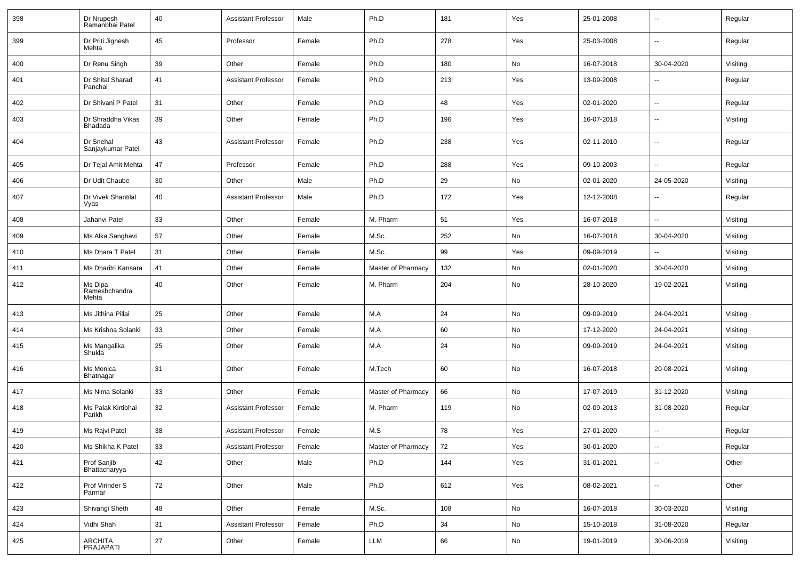| 398 | Dr Nrupesh<br>Ramanbhai Patel     | 40     | <b>Assistant Professor</b> | Male   | Ph.D               | 181 | Yes           | 25-01-2008 | $\overline{\phantom{a}}$ | Regular  |
|-----|-----------------------------------|--------|----------------------------|--------|--------------------|-----|---------------|------------|--------------------------|----------|
| 399 | Dr Priti Jignesh<br>Mehta         | 45     | Professor                  | Female | Ph.D               | 278 | Yes           | 25-03-2008 | $\overline{\phantom{a}}$ | Regular  |
| 400 | Dr Renu Singh                     | 39     | Other                      | Female | Ph.D               | 180 | No            | 16-07-2018 | 30-04-2020               | Visiting |
| 401 | Dr Shital Sharad<br>Panchal       | 41     | <b>Assistant Professor</b> | Female | Ph.D               | 213 | Yes           | 13-09-2008 | $\overline{\phantom{a}}$ | Regular  |
| 402 | Dr Shivani P Patel                | 31     | Other                      | Female | Ph.D               | 48  | Yes           | 02-01-2020 | $\overline{\phantom{a}}$ | Regular  |
| 403 | Dr Shraddha Vikas<br>Bhadada      | 39     | Other                      | Female | Ph.D               | 196 | Yes           | 16-07-2018 | $\overline{\phantom{a}}$ | Visiting |
| 404 | Dr Snehal<br>Sanjaykumar Patel    | 43     | <b>Assistant Professor</b> | Female | Ph.D               | 238 | Yes           | 02-11-2010 | $\mathbf{u}$             | Regular  |
| 405 | Dr Tejal Amit Mehta               | 47     | Professor                  | Female | Ph.D               | 288 | Yes           | 09-10-2003 | $\mathbf{u}$             | Regular  |
| 406 | Dr Udit Chaube                    | 30     | Other                      | Male   | Ph.D               | 29  | No            | 02-01-2020 | 24-05-2020               | Visiting |
| 407 | Dr Vivek Shantilal<br>Vyas        | 40     | <b>Assistant Professor</b> | Male   | Ph.D               | 172 | Yes           | 12-12-2008 | $\overline{\phantom{a}}$ | Regular  |
| 408 | Jahanvi Patel                     | 33     | Other                      | Female | M. Pharm           | 51  | Yes           | 16-07-2018 | $\mathbf{u}$             | Visiting |
| 409 | Ms Alka Sanghavi                  | 57     | Other                      | Female | M.Sc.              | 252 | No            | 16-07-2018 | 30-04-2020               | Visiting |
| 410 | Ms Dhara T Patel                  | 31     | Other                      | Female | M.Sc.              | 99  | Yes           | 09-09-2019 | $\mathbf{u}$             | Visiting |
| 411 | Ms Dharitri Kansara               | 41     | Other                      | Female | Master of Pharmacy | 132 | No            | 02-01-2020 | 30-04-2020               | Visiting |
| 412 | Ms Dipa<br>Rameshchandra<br>Mehta | 40     | Other                      | Female | M. Pharm           | 204 | No            | 28-10-2020 | 19-02-2021               | Visiting |
| 413 | Ms Jithina Pillai                 | 25     | Other                      | Female | M.A                | 24  | No            | 09-09-2019 | 24-04-2021               | Visiting |
| 414 | Ms Krishna Solanki                | 33     | Other                      | Female | M.A                | 60  | No            | 17-12-2020 | 24-04-2021               | Visiting |
| 415 | Ms Mangalika<br>Shukla            | 25     | Other                      | Female | M.A                | 24  | No            | 09-09-2019 | 24-04-2021               | Visiting |
| 416 | Ms Monica<br>Bhatnagar            | 31     | Other                      | Female | M.Tech             | 60  | No            | 16-07-2018 | 20-08-2021               | Visiting |
| 417 | Ms Nima Solanki                   | 33     | Other                      | Female | Master of Pharmacy | 66  | No            | 17-07-2019 | 31-12-2020               | Visiting |
| 418 | Ms Palak Kirtibhai<br>Parikh      | 32     | <b>Assistant Professor</b> | Female | M. Pharm           | 119 | No            | 02-09-2013 | 31-08-2020               | Regular  |
| 419 | Ms Rajvi Patel                    | 38     | <b>Assistant Professor</b> | Female | M.S                | 78  | Yes           | 27-01-2020 | $\overline{\phantom{a}}$ | Regular  |
| 420 | Ms Shikha K Patel                 | 33     | <b>Assistant Professor</b> | Female | Master of Pharmacy | 72  | Yes           | 30-01-2020 | $\ddotsc$                | Regular  |
| 421 | Prof Sanjib<br>Bhattacharyya      | $42\,$ | Other                      | Male   | Ph.D               | 144 | Yes           | 31-01-2021 | $\overline{\phantom{a}}$ | Other    |
| 422 | Prof Virinder S<br>Parmar         | 72     | Other                      | Male   | Ph.D               | 612 | Yes           | 08-02-2021 | $\overline{\phantom{a}}$ | Other    |
| 423 | Shivangi Sheth                    | 48     | Other                      | Female | M.Sc.              | 108 | No            | 16-07-2018 | 30-03-2020               | Visiting |
| 424 | Vidhi Shah                        | 31     | <b>Assistant Professor</b> | Female | Ph.D               | 34  | No            | 15-10-2018 | 31-08-2020               | Regular  |
| 425 | ARCHITA<br>PRAJAPATI              | 27     | Other                      | Female | LLM                | 66  | $\mathsf{No}$ | 19-01-2019 | 30-06-2019               | Visiting |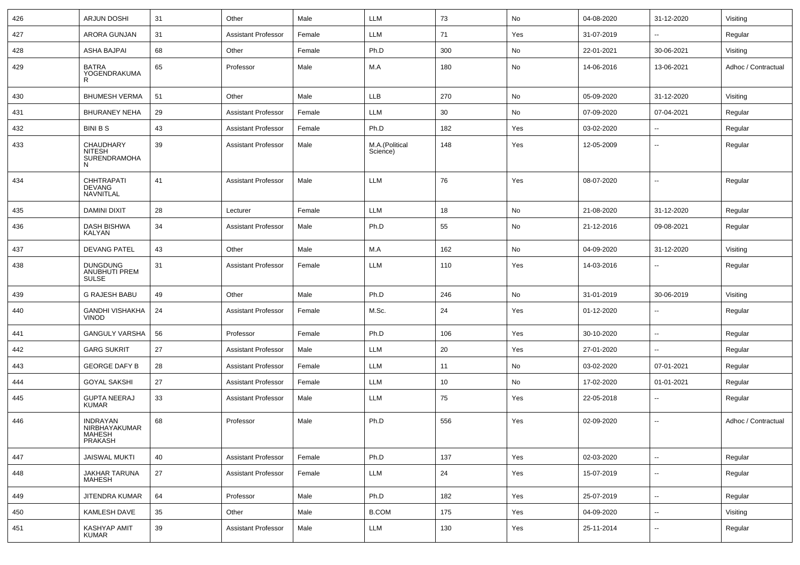| 426 | <b>ARJUN DOSHI</b>                                           | 31 | Other                      | Male   | LLM                        | 73  | No  | 04-08-2020 | 31-12-2020               | Visiting            |
|-----|--------------------------------------------------------------|----|----------------------------|--------|----------------------------|-----|-----|------------|--------------------------|---------------------|
| 427 | <b>ARORA GUNJAN</b>                                          | 31 | <b>Assistant Professor</b> | Female | LLM                        | 71  | Yes | 31-07-2019 | $\sim$                   | Regular             |
| 428 | ASHA BAJPAI                                                  | 68 | Other                      | Female | Ph.D                       | 300 | No  | 22-01-2021 | 30-06-2021               | Visiting            |
| 429 | <b>BATRA</b><br>YOGENDRAKUMA<br>R                            | 65 | Professor                  | Male   | M.A                        | 180 | No  | 14-06-2016 | 13-06-2021               | Adhoc / Contractual |
| 430 | <b>BHUMESH VERMA</b>                                         | 51 | Other                      | Male   | LLB                        | 270 | No  | 05-09-2020 | 31-12-2020               | Visiting            |
| 431 | <b>BHURANEY NEHA</b>                                         | 29 | <b>Assistant Professor</b> | Female | LLM                        | 30  | No  | 07-09-2020 | 07-04-2021               | Regular             |
| 432 | <b>BINI B S</b>                                              | 43 | <b>Assistant Professor</b> | Female | Ph.D                       | 182 | Yes | 03-02-2020 | $\overline{\phantom{a}}$ | Regular             |
| 433 | CHAUDHARY<br>NITESH<br>SURENDRAMOHA<br>N                     | 39 | <b>Assistant Professor</b> | Male   | M.A.(Political<br>Science) | 148 | Yes | 12-05-2009 | $\overline{\phantom{a}}$ | Regular             |
| 434 | <b>CHHTRAPATI</b><br>DEVANG<br>NAVNITLAL                     | 41 | <b>Assistant Professor</b> | Male   | LLM                        | 76  | Yes | 08-07-2020 | --                       | Regular             |
| 435 | DAMINI DIXIT                                                 | 28 | Lecturer                   | Female | LLM                        | 18  | No  | 21-08-2020 | 31-12-2020               | Regular             |
| 436 | <b>DASH BISHWA</b><br>KALYAN                                 | 34 | <b>Assistant Professor</b> | Male   | Ph.D                       | 55  | No  | 21-12-2016 | 09-08-2021               | Regular             |
| 437 | <b>DEVANG PATEL</b>                                          | 43 | Other                      | Male   | M.A                        | 162 | No  | 04-09-2020 | 31-12-2020               | Visiting            |
| 438 | <b>DUNGDUNG</b><br><b>ANUBHUTI PREM</b><br>SULSE             | 31 | <b>Assistant Professor</b> | Female | LLM                        | 110 | Yes | 14-03-2016 | ۰.                       | Regular             |
| 439 | <b>G RAJESH BABU</b>                                         | 49 | Other                      | Male   | Ph.D                       | 246 | No  | 31-01-2019 | 30-06-2019               | Visiting            |
| 440 | <b>GANDHI VISHAKHA</b><br><b>VINOD</b>                       | 24 | <b>Assistant Professor</b> | Female | M.Sc.                      | 24  | Yes | 01-12-2020 | ۰.                       | Regular             |
| 441 | <b>GANGULY VARSHA</b>                                        | 56 | Professor                  | Female | Ph.D                       | 106 | Yes | 30-10-2020 | $\sim$                   | Regular             |
| 442 | <b>GARG SUKRIT</b>                                           | 27 | <b>Assistant Professor</b> | Male   | LLM                        | 20  | Yes | 27-01-2020 | --                       | Regular             |
| 443 | <b>GEORGE DAFY B</b>                                         | 28 | <b>Assistant Professor</b> | Female | LLM                        | 11  | No  | 03-02-2020 | 07-01-2021               | Regular             |
| 444 | <b>GOYAL SAKSHI</b>                                          | 27 | <b>Assistant Professor</b> | Female | LLM                        | 10  | No  | 17-02-2020 | 01-01-2021               | Regular             |
| 445 | <b>GUPTA NEERAJ</b><br>KUMAR                                 | 33 | <b>Assistant Professor</b> | Male   | LLM                        | 75  | Yes | 22-05-2018 | $\overline{\phantom{a}}$ | Regular             |
| 446 | <b>INDRAYAN</b><br>NIRBHAYAKUMAR<br><b>MAHESH</b><br>PRAKASH | 68 | Professor                  | Male   | Ph.D                       | 556 | Yes | 02-09-2020 | --                       | Adhoc / Contractual |
| 447 | <b>JAISWAL MUKTI</b>                                         | 40 | <b>Assistant Professor</b> | Female | Ph.D                       | 137 | Yes | 02-03-2020 | $\sim$                   | Regular             |
| 448 | JAKHAR TARUNA<br>MAHESH                                      | 27 | <b>Assistant Professor</b> | Female | LLM                        | 24  | Yes | 15-07-2019 | $\sim$                   | Regular             |
| 449 | JITENDRA KUMAR                                               | 64 | Professor                  | Male   | Ph.D                       | 182 | Yes | 25-07-2019 | $\sim$                   | Regular             |
| 450 | <b>KAMLESH DAVE</b>                                          | 35 | Other                      | Male   | <b>B.COM</b>               | 175 | Yes | 04-09-2020 | --                       | Visiting            |
| 451 | <b>KASHYAP AMIT</b><br>KUMAR                                 | 39 | <b>Assistant Professor</b> | Male   | LLM                        | 130 | Yes | 25-11-2014 | --                       | Regular             |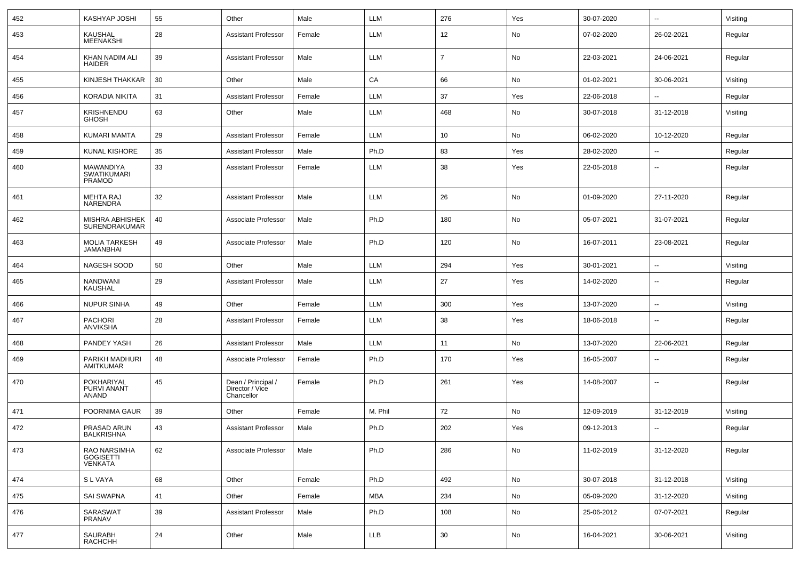| 452 | <b>KASHYAP JOSHI</b>                             | 55 | Other                                               | Male   | LLM        | 276            | Yes | 30-07-2020 | $\sim$                   | Visiting |
|-----|--------------------------------------------------|----|-----------------------------------------------------|--------|------------|----------------|-----|------------|--------------------------|----------|
| 453 | <b>KAUSHAL</b><br><b>MEENAKSHI</b>               | 28 | <b>Assistant Professor</b>                          | Female | LLM        | 12             | No  | 07-02-2020 | 26-02-2021               | Regular  |
| 454 | KHAN NADIM ALI<br><b>HAIDER</b>                  | 39 | <b>Assistant Professor</b>                          | Male   | <b>LLM</b> | $\overline{7}$ | No  | 22-03-2021 | 24-06-2021               | Regular  |
| 455 | <b>KINJESH THAKKAR</b>                           | 30 | Other                                               | Male   | CA         | 66             | No  | 01-02-2021 | 30-06-2021               | Visiting |
| 456 | <b>KORADIA NIKITA</b>                            | 31 | <b>Assistant Professor</b>                          | Female | LLM        | 37             | Yes | 22-06-2018 |                          | Regular  |
| 457 | KRISHNENDU<br><b>GHOSH</b>                       | 63 | Other                                               | Male   | LLM        | 468            | No  | 30-07-2018 | 31-12-2018               | Visiting |
| 458 | KUMARI MAMTA                                     | 29 | <b>Assistant Professor</b>                          | Female | LLM        | 10             | No  | 06-02-2020 | 10-12-2020               | Regular  |
| 459 | KUNAL KISHORE                                    | 35 | <b>Assistant Professor</b>                          | Male   | Ph.D       | 83             | Yes | 28-02-2020 |                          | Regular  |
| 460 | MAWANDIYA<br><b>SWATIKUMARI</b><br><b>PRAMOD</b> | 33 | <b>Assistant Professor</b>                          | Female | LLM        | 38             | Yes | 22-05-2018 | $\overline{\phantom{a}}$ | Regular  |
| 461 | <b>MEHTA RAJ</b><br><b>NARENDRA</b>              | 32 | <b>Assistant Professor</b>                          | Male   | <b>LLM</b> | 26             | No  | 01-09-2020 | 27-11-2020               | Regular  |
| 462 | MISHRA ABHISHEK<br>SURENDRAKUMAR                 | 40 | Associate Professor                                 | Male   | Ph.D       | 180            | No  | 05-07-2021 | 31-07-2021               | Regular  |
| 463 | <b>MOLIA TARKESH</b><br><b>JAMANBHAI</b>         | 49 | Associate Professor                                 | Male   | Ph.D       | 120            | No  | 16-07-2011 | 23-08-2021               | Regular  |
| 464 | NAGESH SOOD                                      | 50 | Other                                               | Male   | <b>LLM</b> | 294            | Yes | 30-01-2021 | --                       | Visiting |
| 465 | <b>NANDWANI</b><br><b>KAUSHAL</b>                | 29 | <b>Assistant Professor</b>                          | Male   | LLM        | 27             | Yes | 14-02-2020 | ۵.                       | Regular  |
| 466 | <b>NUPUR SINHA</b>                               | 49 | Other                                               | Female | <b>LLM</b> | 300            | Yes | 13-07-2020 | $\overline{a}$           | Visiting |
| 467 | <b>PACHORI</b><br>ANVIKSHA                       | 28 | <b>Assistant Professor</b>                          | Female | LLM        | 38             | Yes | 18-06-2018 | $\overline{\phantom{a}}$ | Regular  |
| 468 | PANDEY YASH                                      | 26 | <b>Assistant Professor</b>                          | Male   | LLM        | 11             | No  | 13-07-2020 | 22-06-2021               | Regular  |
| 469 | PARIKH MADHURI<br><b>AMITKUMAR</b>               | 48 | Associate Professor                                 | Female | Ph.D       | 170            | Yes | 16-05-2007 | --                       | Regular  |
| 470 | POKHARIYAL<br><b>PURVI ANANT</b><br>ANAND        | 45 | Dean / Principal /<br>Director / Vice<br>Chancellor | Female | Ph.D       | 261            | Yes | 14-08-2007 | --                       | Regular  |
| 471 | POORNIMA GAUR                                    | 39 | Other                                               | Female | M. Phil    | 72             | No  | 12-09-2019 | 31-12-2019               | Visiting |
| 472 | PRASAD ARUN<br>BALKRISHNA                        | 43 | <b>Assistant Professor</b>                          | Male   | Ph.D       | 202            | Yes | 09-12-2013 |                          | Regular  |
| 473 | RAO NARSIMHA<br><b>GOGISETTI</b><br>VENKATA      | 62 | Associate Professor                                 | Male   | Ph.D       | 286            | No  | 11-02-2019 | 31-12-2020               | Regular  |
| 474 | S L VAYA                                         | 68 | Other                                               | Female | Ph.D       | 492            | No  | 30-07-2018 | 31-12-2018               | Visiting |
| 475 | <b>SAI SWAPNA</b>                                | 41 | Other                                               | Female | MBA        | 234            | No  | 05-09-2020 | 31-12-2020               | Visiting |
| 476 | SARASWAT<br>PRANAV                               | 39 | <b>Assistant Professor</b>                          | Male   | Ph.D       | 108            | No  | 25-06-2012 | 07-07-2021               | Regular  |
| 477 | SAURABH<br>RACHCHH                               | 24 | Other                                               | Male   | LLB        | 30             | No  | 16-04-2021 | 30-06-2021               | Visiting |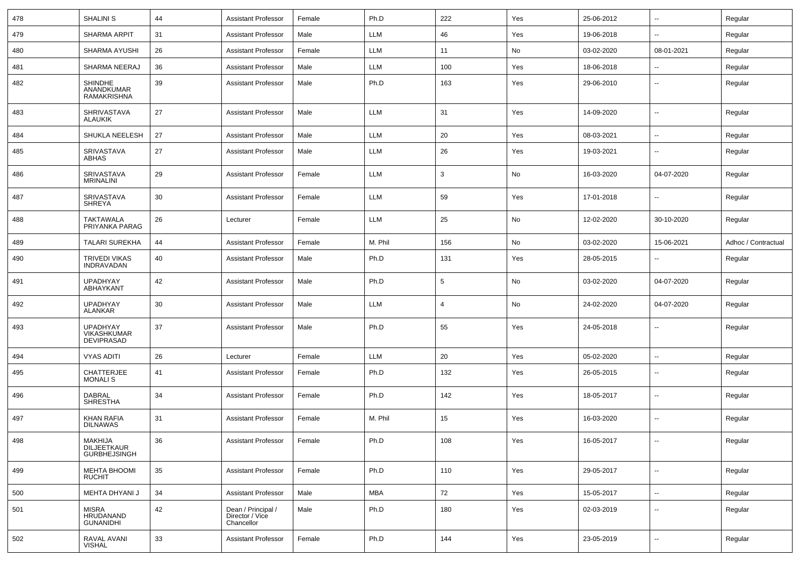| 478 | <b>SHALINI S</b>                                     | 44 | <b>Assistant Professor</b>                          | Female | Ph.D       | 222            | Yes | 25-06-2012 | $\sim$                   | Regular             |
|-----|------------------------------------------------------|----|-----------------------------------------------------|--------|------------|----------------|-----|------------|--------------------------|---------------------|
| 479 | <b>SHARMA ARPIT</b>                                  | 31 | <b>Assistant Professor</b>                          | Male   | <b>LLM</b> | 46             | Yes | 19-06-2018 | ⊷.                       | Regular             |
| 480 | SHARMA AYUSHI                                        | 26 | <b>Assistant Professor</b>                          | Female | LLM        | 11             | No  | 03-02-2020 | 08-01-2021               | Regular             |
| 481 | SHARMA NEERAJ                                        | 36 | <b>Assistant Professor</b>                          | Male   | LLM        | 100            | Yes | 18-06-2018 |                          | Regular             |
| 482 | <b>SHINDHE</b><br>ANANDKUMAR<br>RAMAKRISHNA          | 39 | <b>Assistant Professor</b>                          | Male   | Ph.D       | 163            | Yes | 29-06-2010 | --                       | Regular             |
| 483 | <b>SHRIVASTAVA</b><br><b>ALAUKIK</b>                 | 27 | Assistant Professor                                 | Male   | LLM        | 31             | Yes | 14-09-2020 | --                       | Regular             |
| 484 | SHUKLA NEELESH                                       | 27 | <b>Assistant Professor</b>                          | Male   | LLM        | 20             | Yes | 08-03-2021 | $\overline{\phantom{a}}$ | Regular             |
| 485 | SRIVASTAVA<br>ABHAS                                  | 27 | <b>Assistant Professor</b>                          | Male   | LLM        | 26             | Yes | 19-03-2021 | --                       | Regular             |
| 486 | SRIVASTAVA<br><b>MRINALINI</b>                       | 29 | <b>Assistant Professor</b>                          | Female | <b>LLM</b> | 3              | No  | 16-03-2020 | 04-07-2020               | Regular             |
| 487 | SRIVASTAVA<br><b>SHREYA</b>                          | 30 | <b>Assistant Professor</b>                          | Female | LLM        | 59             | Yes | 17-01-2018 | --                       | Regular             |
| 488 | TAKTAWALA<br>PRIYANKA PARAG                          | 26 | Lecturer                                            | Female | LLM        | 25             | No  | 12-02-2020 | 30-10-2020               | Regular             |
| 489 | <b>TALARI SUREKHA</b>                                | 44 | <b>Assistant Professor</b>                          | Female | M. Phil    | 156            | No  | 03-02-2020 | 15-06-2021               | Adhoc / Contractual |
| 490 | TRIVEDI VIKAS<br>INDRAVADAN                          | 40 | <b>Assistant Professor</b>                          | Male   | Ph.D       | 131            | Yes | 28-05-2015 | $\overline{a}$           | Regular             |
| 491 | <b>UPADHYAY</b><br>ABHAYKANT                         | 42 | <b>Assistant Professor</b>                          | Male   | Ph.D       | 5              | No  | 03-02-2020 | 04-07-2020               | Regular             |
| 492 | <b>UPADHYAY</b><br><b>ALANKAR</b>                    | 30 | <b>Assistant Professor</b>                          | Male   | <b>LLM</b> | $\overline{4}$ | No  | 24-02-2020 | 04-07-2020               | Regular             |
| 493 | <b>UPADHYAY</b><br>VIKASHKUMAR<br><b>DEVIPRASAD</b>  | 37 | <b>Assistant Professor</b>                          | Male   | Ph.D       | 55             | Yes | 24-05-2018 |                          | Regular             |
| 494 | <b>VYAS ADITI</b>                                    | 26 | Lecturer                                            | Female | <b>LLM</b> | 20             | Yes | 05-02-2020 | $\overline{\phantom{a}}$ | Regular             |
| 495 | CHATTERJEE<br><b>MONALIS</b>                         | 41 | Assistant Professor                                 | Female | Ph.D       | 132            | Yes | 26-05-2015 | --                       | Regular             |
| 496 | <b>DABRAL</b><br><b>SHRESTHA</b>                     | 34 | <b>Assistant Professor</b>                          | Female | Ph.D       | 142            | Yes | 18-05-2017 | --                       | Regular             |
| 497 | KHAN RAFIA<br><b>DILNAWAS</b>                        | 31 | <b>Assistant Professor</b>                          | Female | M. Phil    | 15             | Yes | 16-03-2020 | --                       | Regular             |
| 498 | MAKHIJA<br>DILJEETKAUR<br>GURBHEJSINGH               | 36 | <b>Assistant Professor</b>                          | Female | Ph.D       | 108            | Yes | 16-05-2017 | $\overline{\phantom{a}}$ | Regular             |
| 499 | MEHTA BHOOMI<br><b>RUCHIT</b>                        | 35 | Assistant Professor                                 | Female | Ph.D       | 110            | Yes | 29-05-2017 | $\sim$                   | Regular             |
| 500 | MEHTA DHYANI J                                       | 34 | <b>Assistant Professor</b>                          | Male   | <b>MBA</b> | 72             | Yes | 15-05-2017 | $\sim$                   | Regular             |
| 501 | <b>MISRA</b><br><b>HRUDANAND</b><br><b>GUNANIDHI</b> | 42 | Dean / Principal /<br>Director / Vice<br>Chancellor | Male   | Ph.D       | 180            | Yes | 02-03-2019 | --                       | Regular             |
| 502 | RAVAL AVANI<br><b>VISHAL</b>                         | 33 | <b>Assistant Professor</b>                          | Female | Ph.D       | 144            | Yes | 23-05-2019 | н.                       | Regular             |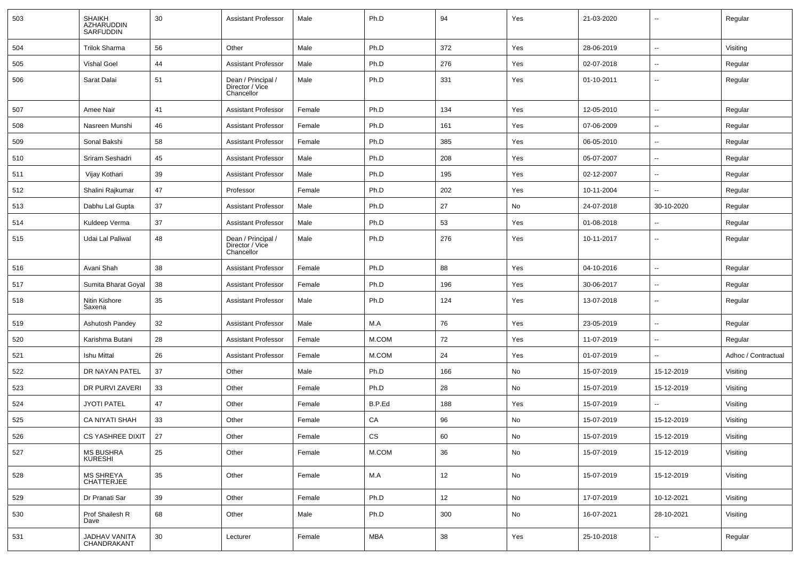| 503 | <b>SHAIKH</b><br>AZHARUDDIN<br>SARFUDDIN | 30 | <b>Assistant Professor</b>                          | Male   | Ph.D          | 94  | Yes                          | 21-03-2020 | $\overline{\phantom{a}}$ | Regular             |
|-----|------------------------------------------|----|-----------------------------------------------------|--------|---------------|-----|------------------------------|------------|--------------------------|---------------------|
| 504 | <b>Trilok Sharma</b>                     | 56 | Other                                               | Male   | Ph.D          | 372 | Yes                          | 28-06-2019 | Ξ.                       | Visiting            |
| 505 | <b>Vishal Goel</b>                       | 44 | <b>Assistant Professor</b>                          | Male   | Ph.D          | 276 | Yes                          | 02-07-2018 | $\overline{\phantom{a}}$ | Regular             |
| 506 | Sarat Dalai                              | 51 | Dean / Principal /<br>Director / Vice<br>Chancellor | Male   | Ph.D          | 331 | Yes                          | 01-10-2011 | --                       | Regular             |
| 507 | Amee Nair                                | 41 | <b>Assistant Professor</b>                          | Female | Ph.D          | 134 | Yes                          | 12-05-2010 | $\overline{\phantom{a}}$ | Regular             |
| 508 | Nasreen Munshi                           | 46 | <b>Assistant Professor</b>                          | Female | Ph.D          | 161 | Yes                          | 07-06-2009 | н.                       | Regular             |
| 509 | Sonal Bakshi                             | 58 | <b>Assistant Professor</b>                          | Female | Ph.D          | 385 | Yes                          | 06-05-2010 | $\overline{\phantom{a}}$ | Regular             |
| 510 | Sriram Seshadri                          | 45 | <b>Assistant Professor</b>                          | Male   | Ph.D          | 208 | Yes                          | 05-07-2007 | $\overline{\phantom{a}}$ | Regular             |
| 511 | Vijay Kothari                            | 39 | <b>Assistant Professor</b>                          | Male   | Ph.D          | 195 | Yes                          | 02-12-2007 | --                       | Regular             |
| 512 | Shalini Rajkumar                         | 47 | Professor                                           | Female | Ph.D          | 202 | Yes                          | 10-11-2004 | $\overline{\phantom{a}}$ | Regular             |
| 513 | Dabhu Lal Gupta                          | 37 | <b>Assistant Professor</b>                          | Male   | Ph.D          | 27  | No                           | 24-07-2018 | 30-10-2020               | Regular             |
| 514 | Kuldeep Verma                            | 37 | <b>Assistant Professor</b>                          | Male   | Ph.D          | 53  | Yes                          | 01-08-2018 | $\overline{\phantom{a}}$ | Regular             |
| 515 | Udai Lal Paliwal                         | 48 | Dean / Principal /<br>Director / Vice<br>Chancellor | Male   | Ph.D          | 276 | Yes                          | 10-11-2017 | $\overline{\phantom{a}}$ | Regular             |
| 516 | Avani Shah                               | 38 | <b>Assistant Professor</b>                          | Female | Ph.D          | 88  | Yes                          | 04-10-2016 | $\overline{\phantom{a}}$ | Regular             |
| 517 | Sumita Bharat Goyal                      | 38 | <b>Assistant Professor</b>                          | Female | Ph.D          | 196 | Yes                          | 30-06-2017 | ⊷.                       | Regular             |
| 518 | Nitin Kishore<br>Saxena                  | 35 | <b>Assistant Professor</b>                          | Male   | Ph.D          | 124 | Yes                          | 13-07-2018 | $\overline{\phantom{a}}$ | Regular             |
| 519 | Ashutosh Pandey                          | 32 | <b>Assistant Professor</b>                          | Male   | M.A           | 76  | Yes                          | 23-05-2019 | $\overline{\phantom{a}}$ | Regular             |
| 520 | Karishma Butani                          | 28 | <b>Assistant Professor</b>                          | Female | M.COM         | 72  | Yes                          | 11-07-2019 | --                       | Regular             |
| 521 | Ishu Mittal                              | 26 | <b>Assistant Professor</b>                          | Female | M.COM         | 24  | Yes                          | 01-07-2019 | $\overline{\phantom{a}}$ | Adhoc / Contractual |
| 522 | DR NAYAN PATEL                           | 37 | Other                                               | Male   | Ph.D          | 166 | No                           | 15-07-2019 | 15-12-2019               | Visiting            |
| 523 | DR PURVI ZAVERI                          | 33 | Other                                               | Female | Ph.D          | 28  | No                           | 15-07-2019 | 15-12-2019               | Visiting            |
| 524 | <b>JYOTI PATEL</b>                       | 47 | Other                                               | Female | B.P.Ed        | 188 | Yes                          | 15-07-2019 |                          | Visiting            |
| 525 | CA NIYATI SHAH                           | 33 | Other                                               | Female | CA            | 96  | No                           | 15-07-2019 | 15-12-2019               | Visiting            |
| 526 | CS YASHREE DIXIT                         | 27 | Other                                               | Female | $\mathtt{CS}$ | 60  | $\operatorname{\mathsf{No}}$ | 15-07-2019 | 15-12-2019               | Visiting            |
| 527 | MS BUSHRA<br>KURESHI                     | 25 | Other                                               | Female | $M.$ COM      | 36  | No                           | 15-07-2019 | 15-12-2019               | Visiting            |
| 528 | MS SHREYA<br>CHATTERJEE                  | 35 | Other                                               | Female | M.A           | 12  | No                           | 15-07-2019 | 15-12-2019               | Visiting            |
| 529 | Dr Pranati Sar                           | 39 | Other                                               | Female | Ph.D          | 12  | No                           | 17-07-2019 | 10-12-2021               | Visiting            |
| 530 | Prof Shailesh R<br>Dave                  | 68 | Other                                               | Male   | Ph.D          | 300 | No                           | 16-07-2021 | 28-10-2021               | Visiting            |
| 531 | JADHAV VANITA<br>CHANDRAKANT             | 30 | Lecturer                                            | Female | <b>MBA</b>    | 38  | Yes                          | 25-10-2018 | $\sim$                   | Regular             |